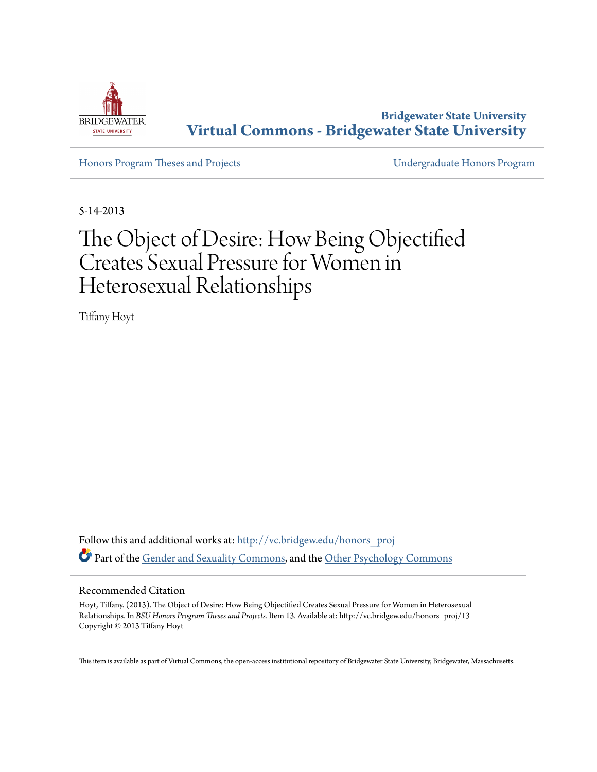

**Bridgewater State University [Virtual Commons - Bridgewater State University](http://vc.bridgew.edu?utm_source=vc.bridgew.edu%2Fhonors_proj%2F13&utm_medium=PDF&utm_campaign=PDFCoverPages)**

[Honors Program Theses and Projects](http://vc.bridgew.edu/honors_proj?utm_source=vc.bridgew.edu%2Fhonors_proj%2F13&utm_medium=PDF&utm_campaign=PDFCoverPages) [Undergraduate Honors Program](http://vc.bridgew.edu/honors?utm_source=vc.bridgew.edu%2Fhonors_proj%2F13&utm_medium=PDF&utm_campaign=PDFCoverPages)

5-14-2013

# The Object of Desire: How Being Objectified Creates Sexual Pressure for Women in Heterosexual Relationships

Tiffany Hoyt

Follow this and additional works at: [http://vc.bridgew.edu/honors\\_proj](http://vc.bridgew.edu/honors_proj?utm_source=vc.bridgew.edu%2Fhonors_proj%2F13&utm_medium=PDF&utm_campaign=PDFCoverPages) Part of the Gende<u>r and Sexuality Commons</u>, and the [Other Psychology Commons](http://network.bepress.com/hgg/discipline/415?utm_source=vc.bridgew.edu%2Fhonors_proj%2F13&utm_medium=PDF&utm_campaign=PDFCoverPages)

#### Recommended Citation

Hoyt, Tiffany. (2013). The Object of Desire: How Being Objectified Creates Sexual Pressure for Women in Heterosexual Relationships. In *BSU Honors Program Theses and Projects.* Item 13. Available at: http://vc.bridgew.edu/honors\_proj/13 Copyright © 2013 Tiffany Hoyt

This item is available as part of Virtual Commons, the open-access institutional repository of Bridgewater State University, Bridgewater, Massachusetts.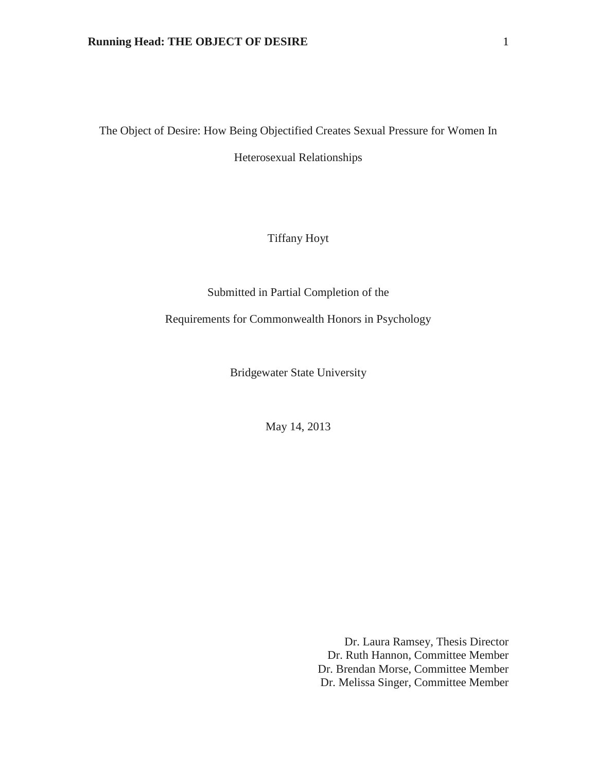The Object of Desire: How Being Objectified Creates Sexual Pressure for Women In

Heterosexual Relationships

Tiffany Hoyt

Submitted in Partial Completion of the

Requirements for Commonwealth Honors in Psychology

Bridgewater State University

May 14, 2013

Dr. Laura Ramsey, Thesis Director Dr. Ruth Hannon, Committee Member Dr. Brendan Morse, Committee Member Dr. Melissa Singer, Committee Member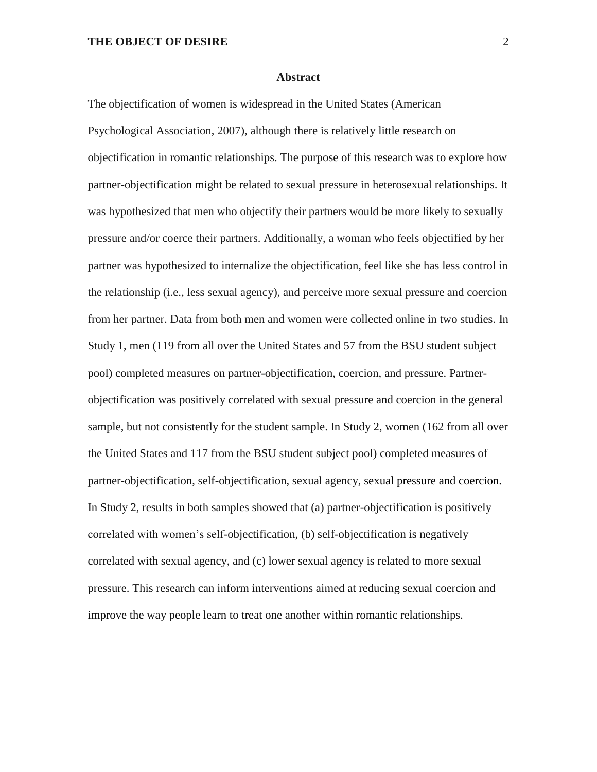#### **Abstract**

The objectification of women is widespread in the United States (American Psychological Association, 2007), although there is relatively little research on objectification in romantic relationships. The purpose of this research was to explore how partner-objectification might be related to sexual pressure in heterosexual relationships. It was hypothesized that men who objectify their partners would be more likely to sexually pressure and/or coerce their partners. Additionally, a woman who feels objectified by her partner was hypothesized to internalize the objectification, feel like she has less control in the relationship (i.e., less sexual agency), and perceive more sexual pressure and coercion from her partner. Data from both men and women were collected online in two studies. In Study 1, men (119 from all over the United States and 57 from the BSU student subject pool) completed measures on partner-objectification, coercion, and pressure. Partnerobjectification was positively correlated with sexual pressure and coercion in the general sample, but not consistently for the student sample. In Study 2, women (162 from all over the United States and 117 from the BSU student subject pool) completed measures of partner-objectification, self-objectification, sexual agency, sexual pressure and coercion. In Study 2, results in both samples showed that (a) partner-objectification is positively correlated with women's self-objectification, (b) self-objectification is negatively correlated with sexual agency, and (c) lower sexual agency is related to more sexual pressure. This research can inform interventions aimed at reducing sexual coercion and improve the way people learn to treat one another within romantic relationships.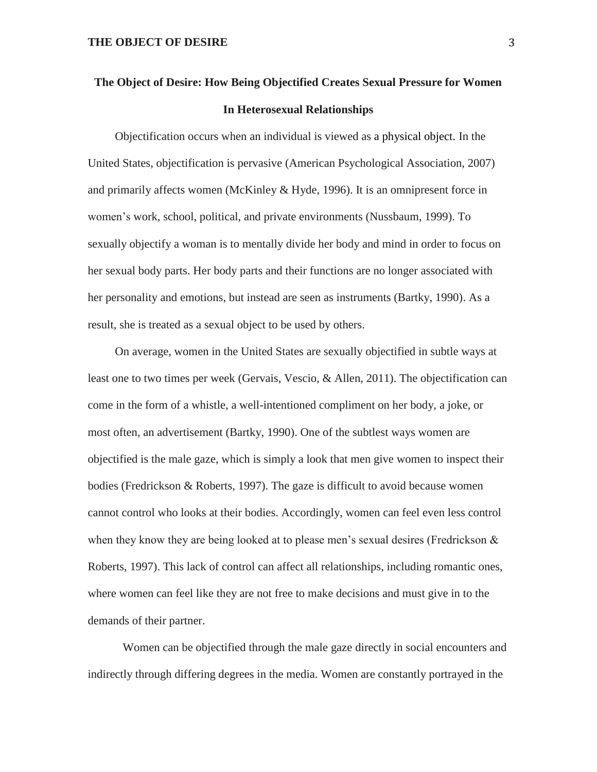## **The Object of Desire: How Being Objectified Creates Sexual Pressure for Women In Heterosexual Relationships**

Objectification occurs when an individual is viewed as a physical object. In the United States, objectification is pervasive (American Psychological Association, 2007) and primarily affects women (McKinley & Hyde, 1996). It is an omnipresent force in women's work, school, political, and private environments (Nussbaum, 1999). To sexually objectify a woman is to mentally divide her body and mind in order to focus on her sexual body parts. Her body parts and their functions are no longer associated with her personality and emotions, but instead are seen as instruments (Bartky, 1990). As a result, she is treated as a sexual object to be used by others.

On average, women in the United States are sexually objectified in subtle ways at least one to two times per week (Gervais, Vescio, & Allen, 2011). The objectification can come in the form of a whistle, a well-intentioned compliment on her body, a joke, or most often, an advertisement (Bartky, 1990). One of the subtlest ways women are objectified is the male gaze, which is simply a look that men give women to inspect their bodies (Fredrickson & Roberts, 1997). The gaze is difficult to avoid because women cannot control who looks at their bodies. Accordingly, women can feel even less control when they know they are being looked at to please men's sexual desires (Fredrickson & Roberts, 1997). This lack of control can affect all relationships, including romantic ones, where women can feel like they are not free to make decisions and must give in to the demands of their partner.

Women can be objectified through the male gaze directly in social encounters and indirectly through differing degrees in the media. Women are constantly portrayed in the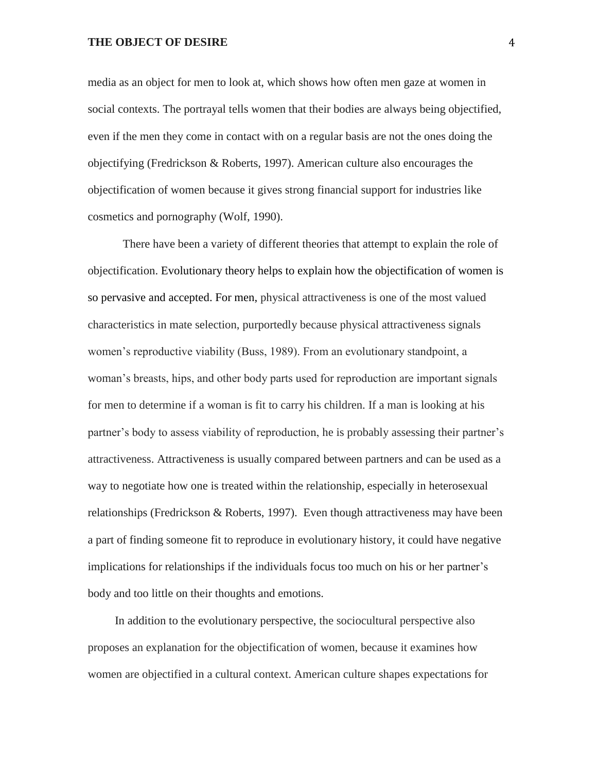media as an object for men to look at, which shows how often men gaze at women in social contexts. The portrayal tells women that their bodies are always being objectified, even if the men they come in contact with on a regular basis are not the ones doing the objectifying (Fredrickson & Roberts, 1997). American culture also encourages the objectification of women because it gives strong financial support for industries like cosmetics and pornography (Wolf, 1990).

There have been a variety of different theories that attempt to explain the role of objectification. Evolutionary theory helps to explain how the objectification of women is so pervasive and accepted. For men, physical attractiveness is one of the most valued characteristics in mate selection, purportedly because physical attractiveness signals women's reproductive viability (Buss, 1989). From an evolutionary standpoint, a woman's breasts, hips, and other body parts used for reproduction are important signals for men to determine if a woman is fit to carry his children. If a man is looking at his partner's body to assess viability of reproduction, he is probably assessing their partner's attractiveness. Attractiveness is usually compared between partners and can be used as a way to negotiate how one is treated within the relationship, especially in heterosexual relationships (Fredrickson & Roberts, 1997). Even though attractiveness may have been a part of finding someone fit to reproduce in evolutionary history, it could have negative implications for relationships if the individuals focus too much on his or her partner's body and too little on their thoughts and emotions.

In addition to the evolutionary perspective, the sociocultural perspective also proposes an explanation for the objectification of women, because it examines how women are objectified in a cultural context. American culture shapes expectations for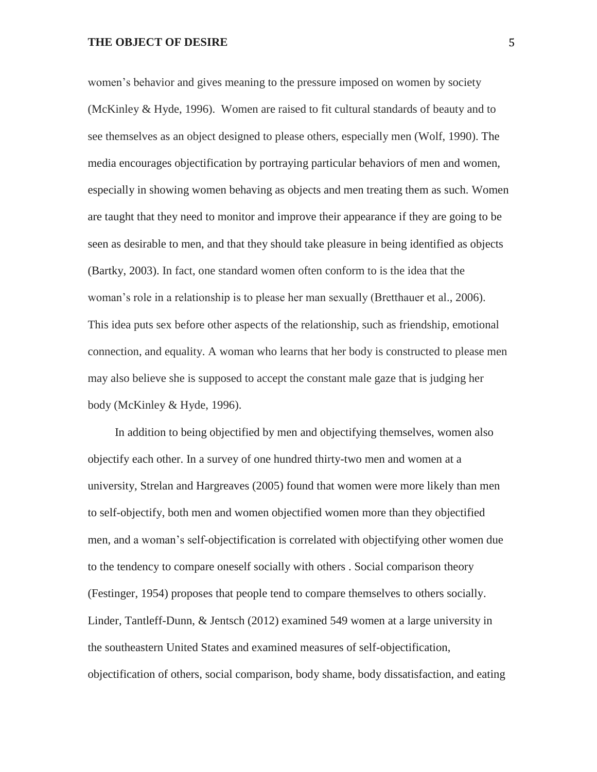women's behavior and gives meaning to the pressure imposed on women by society (McKinley & Hyde, 1996). Women are raised to fit cultural standards of beauty and to see themselves as an object designed to please others, especially men (Wolf, 1990). The media encourages objectification by portraying particular behaviors of men and women, especially in showing women behaving as objects and men treating them as such. Women are taught that they need to monitor and improve their appearance if they are going to be seen as desirable to men, and that they should take pleasure in being identified as objects (Bartky, 2003). In fact, one standard women often conform to is the idea that the woman's role in a relationship is to please her man sexually (Bretthauer et al., 2006). This idea puts sex before other aspects of the relationship, such as friendship, emotional connection, and equality. A woman who learns that her body is constructed to please men may also believe she is supposed to accept the constant male gaze that is judging her body (McKinley & Hyde, 1996).

In addition to being objectified by men and objectifying themselves, women also objectify each other. In a survey of one hundred thirty-two men and women at a university, Strelan and Hargreaves (2005) found that women were more likely than men to self-objectify, both men and women objectified women more than they objectified men, and a woman's self-objectification is correlated with objectifying other women due to the tendency to compare oneself socially with others . Social comparison theory (Festinger, 1954) proposes that people tend to compare themselves to others socially. Linder, Tantleff-Dunn, & Jentsch (2012) examined 549 women at a large university in the southeastern United States and examined measures of self-objectification, objectification of others, social comparison, body shame, body dissatisfaction, and eating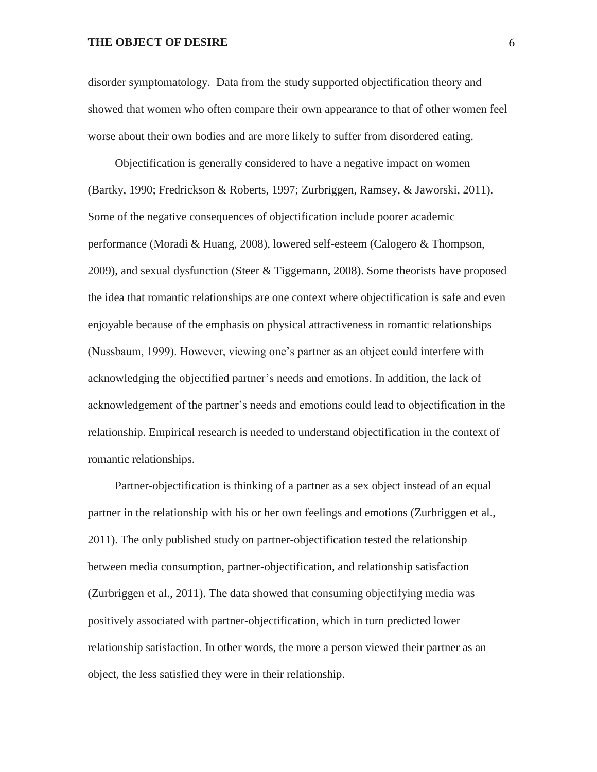disorder symptomatology. Data from the study supported objectification theory and showed that women who often compare their own appearance to that of other women feel worse about their own bodies and are more likely to suffer from disordered eating.

Objectification is generally considered to have a negative impact on women (Bartky, 1990; Fredrickson & Roberts, 1997; Zurbriggen, Ramsey, & Jaworski, 2011). Some of the negative consequences of objectification include poorer academic performance (Moradi & Huang, 2008), lowered self-esteem (Calogero & Thompson, 2009), and sexual dysfunction (Steer & Tiggemann, 2008). Some theorists have proposed the idea that romantic relationships are one context where objectification is safe and even enjoyable because of the emphasis on physical attractiveness in romantic relationships (Nussbaum, 1999). However, viewing one's partner as an object could interfere with acknowledging the objectified partner's needs and emotions. In addition, the lack of acknowledgement of the partner's needs and emotions could lead to objectification in the relationship. Empirical research is needed to understand objectification in the context of romantic relationships.

Partner-objectification is thinking of a partner as a sex object instead of an equal partner in the relationship with his or her own feelings and emotions (Zurbriggen et al., 2011). The only published study on partner-objectification tested the relationship between media consumption, partner-objectification, and relationship satisfaction (Zurbriggen et al., 2011). The data showed that consuming objectifying media was positively associated with partner-objectification, which in turn predicted lower relationship satisfaction. In other words, the more a person viewed their partner as an object, the less satisfied they were in their relationship.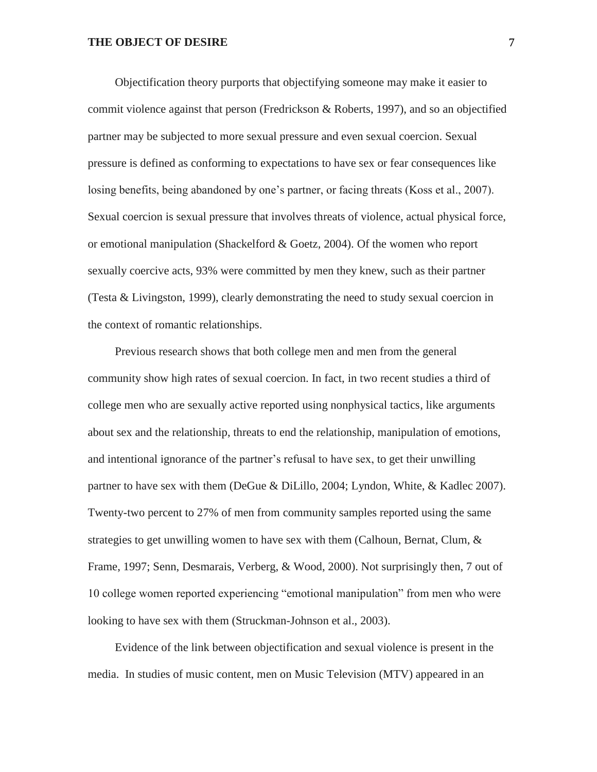Objectification theory purports that objectifying someone may make it easier to commit violence against that person (Fredrickson & Roberts, 1997), and so an objectified partner may be subjected to more sexual pressure and even sexual coercion. Sexual pressure is defined as conforming to expectations to have sex or fear consequences like losing benefits, being abandoned by one's partner, or facing threats (Koss et al., 2007). Sexual coercion is sexual pressure that involves threats of violence, actual physical force, or emotional manipulation (Shackelford & Goetz, 2004). Of the women who report sexually coercive acts, 93% were committed by men they knew, such as their partner (Testa & Livingston, 1999), clearly demonstrating the need to study sexual coercion in the context of romantic relationships.

Previous research shows that both college men and men from the general community show high rates of sexual coercion. In fact, in two recent studies a third of college men who are sexually active reported using nonphysical tactics, like arguments about sex and the relationship, threats to end the relationship, manipulation of emotions, and intentional ignorance of the partner's refusal to have sex, to get their unwilling partner to have sex with them (DeGue & DiLillo, 2004; Lyndon, White, & Kadlec 2007). Twenty-two percent to 27% of men from community samples reported using the same strategies to get unwilling women to have sex with them (Calhoun, Bernat, Clum, & Frame, 1997; Senn, Desmarais, Verberg, & Wood, 2000). Not surprisingly then, 7 out of 10 college women reported experiencing "emotional manipulation" from men who were looking to have sex with them (Struckman-Johnson et al., 2003).

Evidence of the link between objectification and sexual violence is present in the media. In studies of music content, men on Music Television (MTV) appeared in an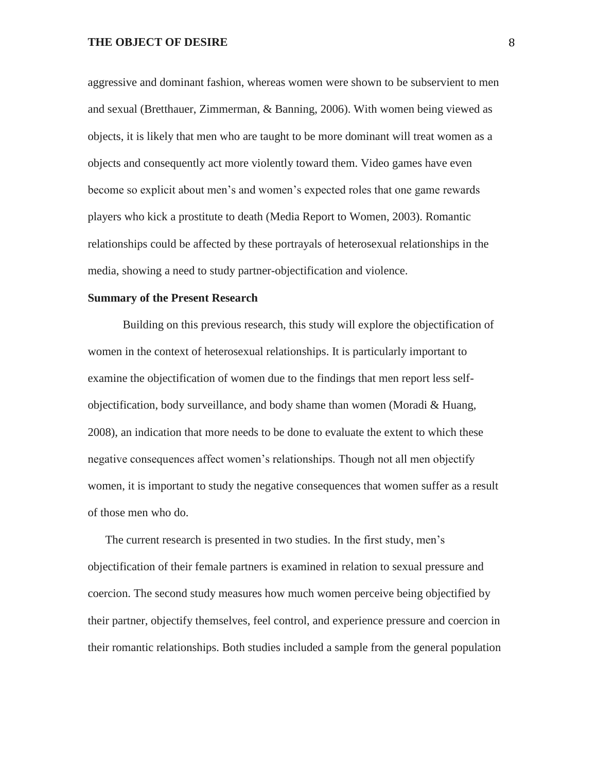aggressive and dominant fashion, whereas women were shown to be subservient to men and sexual (Bretthauer, Zimmerman, & Banning, 2006). With women being viewed as objects, it is likely that men who are taught to be more dominant will treat women as a objects and consequently act more violently toward them. Video games have even become so explicit about men's and women's expected roles that one game rewards players who kick a prostitute to death (Media Report to Women, 2003). Romantic relationships could be affected by these portrayals of heterosexual relationships in the media, showing a need to study partner-objectification and violence.

#### **Summary of the Present Research**

Building on this previous research, this study will explore the objectification of women in the context of heterosexual relationships. It is particularly important to examine the objectification of women due to the findings that men report less selfobjectification, body surveillance, and body shame than women (Moradi & Huang, 2008), an indication that more needs to be done to evaluate the extent to which these negative consequences affect women's relationships. Though not all men objectify women, it is important to study the negative consequences that women suffer as a result of those men who do.

The current research is presented in two studies. In the first study, men's objectification of their female partners is examined in relation to sexual pressure and coercion. The second study measures how much women perceive being objectified by their partner, objectify themselves, feel control, and experience pressure and coercion in their romantic relationships. Both studies included a sample from the general population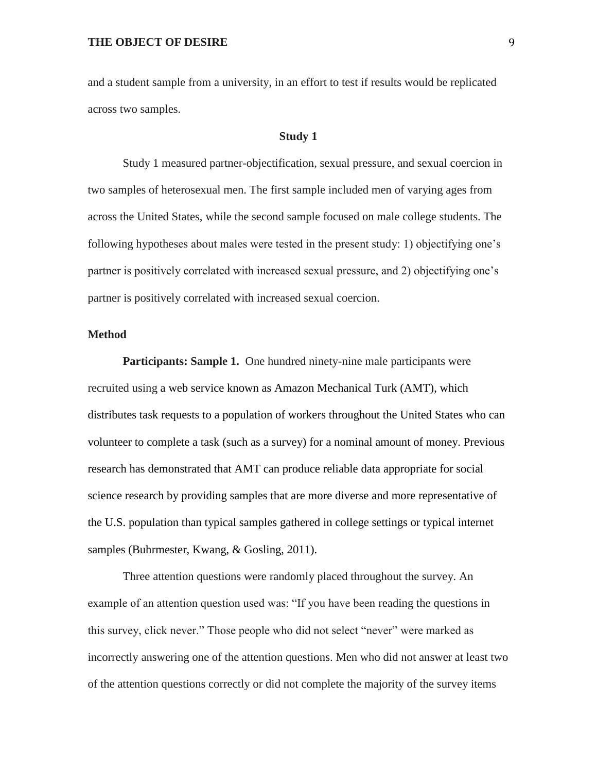and a student sample from a university, in an effort to test if results would be replicated across two samples.

#### **Study 1**

Study 1 measured partner-objectification, sexual pressure, and sexual coercion in two samples of heterosexual men. The first sample included men of varying ages from across the United States, while the second sample focused on male college students. The following hypotheses about males were tested in the present study: 1) objectifying one's partner is positively correlated with increased sexual pressure, and 2) objectifying one's partner is positively correlated with increased sexual coercion.

#### **Method**

Participants: Sample 1. One hundred ninety-nine male participants were recruited using a web service known as Amazon Mechanical Turk (AMT), which distributes task requests to a population of workers throughout the United States who can volunteer to complete a task (such as a survey) for a nominal amount of money. Previous research has demonstrated that AMT can produce reliable data appropriate for social science research by providing samples that are more diverse and more representative of the U.S. population than typical samples gathered in college settings or typical internet samples (Buhrmester, Kwang, & Gosling, 2011).

Three attention questions were randomly placed throughout the survey. An example of an attention question used was: "If you have been reading the questions in this survey, click never." Those people who did not select "never" were marked as incorrectly answering one of the attention questions. Men who did not answer at least two of the attention questions correctly or did not complete the majority of the survey items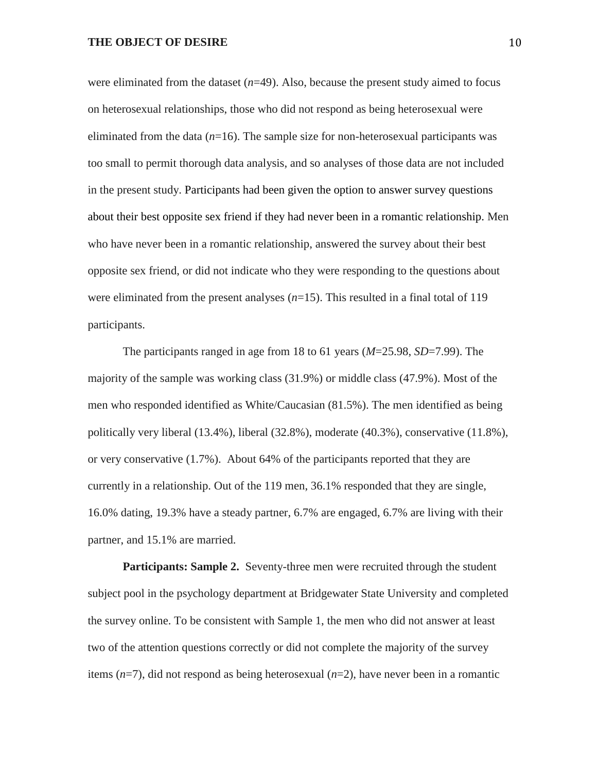were eliminated from the dataset  $(n=49)$ . Also, because the present study aimed to focus on heterosexual relationships, those who did not respond as being heterosexual were eliminated from the data  $(n=16)$ . The sample size for non-heterosexual participants was too small to permit thorough data analysis, and so analyses of those data are not included in the present study. Participants had been given the option to answer survey questions about their best opposite sex friend if they had never been in a romantic relationship. Men who have never been in a romantic relationship, answered the survey about their best opposite sex friend, or did not indicate who they were responding to the questions about were eliminated from the present analyses (*n*=15). This resulted in a final total of 119 participants.

The participants ranged in age from 18 to 61 years (*M*=25.98, *SD*=7.99). The majority of the sample was working class (31.9%) or middle class (47.9%). Most of the men who responded identified as White/Caucasian (81.5%). The men identified as being politically very liberal (13.4%), liberal (32.8%), moderate (40.3%), conservative (11.8%), or very conservative (1.7%). About 64% of the participants reported that they are currently in a relationship. Out of the 119 men, 36.1% responded that they are single, 16.0% dating, 19.3% have a steady partner, 6.7% are engaged, 6.7% are living with their partner, and 15.1% are married.

**Participants: Sample 2.** Seventy-three men were recruited through the student subject pool in the psychology department at Bridgewater State University and completed the survey online. To be consistent with Sample 1, the men who did not answer at least two of the attention questions correctly or did not complete the majority of the survey items (*n*=7), did not respond as being heterosexual (*n*=2), have never been in a romantic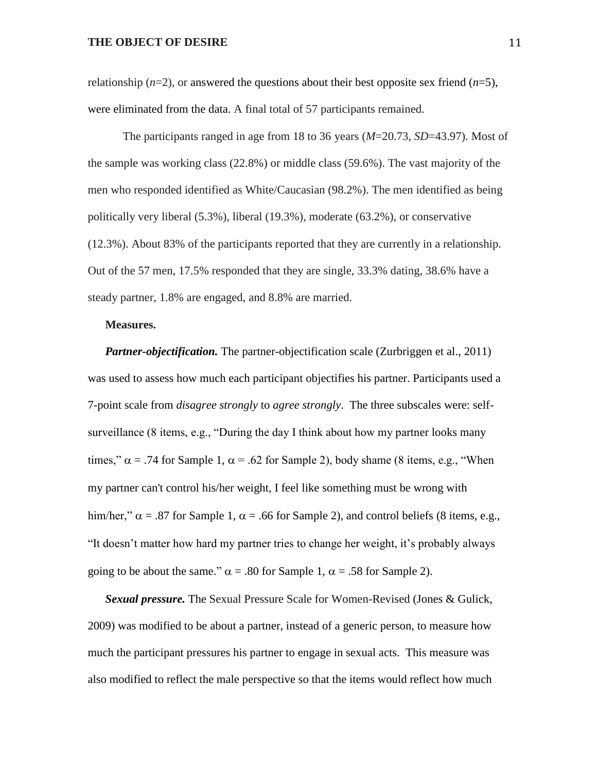relationship  $(n=2)$ , or answered the questions about their best opposite sex friend  $(n=5)$ , were eliminated from the data. A final total of 57 participants remained.

The participants ranged in age from 18 to 36 years (*M*=20.73, *SD*=43.97). Most of the sample was working class (22.8%) or middle class (59.6%). The vast majority of the men who responded identified as White/Caucasian (98.2%). The men identified as being politically very liberal (5.3%), liberal (19.3%), moderate (63.2%), or conservative (12.3%). About 83% of the participants reported that they are currently in a relationship. Out of the 57 men, 17.5% responded that they are single, 33.3% dating, 38.6% have a steady partner, 1.8% are engaged, and 8.8% are married.

#### **Measures.**

*Partner-objectification.* The partner-objectification scale (Zurbriggen et al., 2011) was used to assess how much each participant objectifies his partner. Participants used a 7-point scale from *disagree strongly* to *agree strongly*. The three subscales were: selfsurveillance (8 items, e.g., "During the day I think about how my partner looks many times,"  $\alpha$  = .74 for Sample 1,  $\alpha$  = .62 for Sample 2), body shame (8 items, e.g., "When my partner can't control his/her weight, I feel like something must be wrong with him/her,"  $\alpha$  = .87 for Sample 1,  $\alpha$  = .66 for Sample 2), and control beliefs (8 items, e.g., "It doesn't matter how hard my partner tries to change her weight, it's probably always going to be about the same."  $\alpha$  = .80 for Sample 1,  $\alpha$  = .58 for Sample 2).

*Sexual pressure.* The Sexual Pressure Scale for Women-Revised (Jones & Gulick, 2009) was modified to be about a partner, instead of a generic person, to measure how much the participant pressures his partner to engage in sexual acts. This measure was also modified to reflect the male perspective so that the items would reflect how much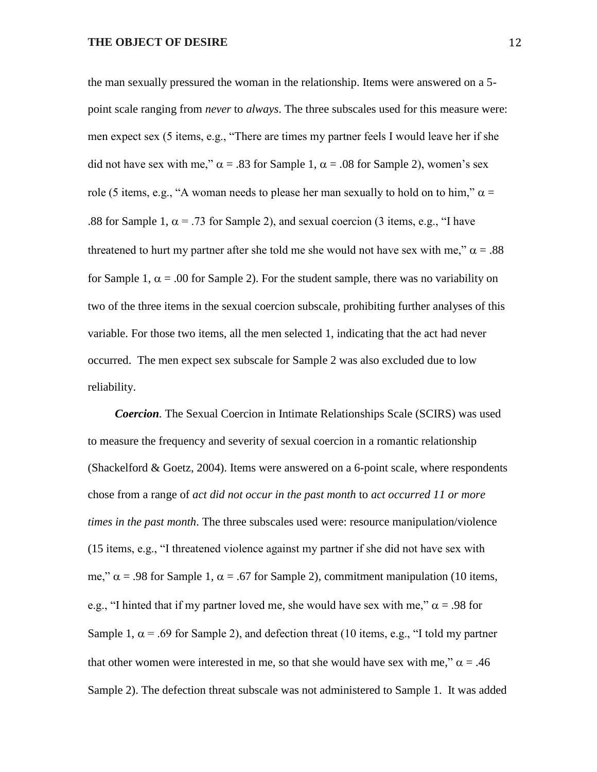the man sexually pressured the woman in the relationship. Items were answered on a 5 point scale ranging from *never* to *always*. The three subscales used for this measure were: men expect sex (5 items, e.g., "There are times my partner feels I would leave her if she did not have sex with me,"  $\alpha = .83$  for Sample 1,  $\alpha = .08$  for Sample 2), women's sex role (5 items, e.g., "A woman needs to please her man sexually to hold on to him,"  $\alpha$  = .88 for Sample 1,  $\alpha$  = .73 for Sample 2), and sexual coercion (3 items, e.g., "I have threatened to hurt my partner after she told me she would not have sex with me,"  $\alpha = .88$ for Sample 1,  $\alpha$  = .00 for Sample 2). For the student sample, there was no variability on two of the three items in the sexual coercion subscale, prohibiting further analyses of this variable. For those two items, all the men selected 1, indicating that the act had never occurred. The men expect sex subscale for Sample 2 was also excluded due to low reliability.

*Coercion.* The Sexual Coercion in Intimate Relationships Scale (SCIRS) was used to measure the frequency and severity of sexual coercion in a romantic relationship (Shackelford & Goetz, 2004). Items were answered on a 6-point scale, where respondents chose from a range of *act did not occur in the past month* to *act occurred 11 or more times in the past month*. The three subscales used were: resource manipulation/violence (15 items, e.g., "I threatened violence against my partner if she did not have sex with me,"  $\alpha$  = .98 for Sample 1,  $\alpha$  = .67 for Sample 2), commitment manipulation (10 items, e.g., "I hinted that if my partner loved me, she would have sex with me,"  $\alpha$  = .98 for Sample 1,  $\alpha$  = .69 for Sample 2), and defection threat (10 items, e.g., "I told my partner that other women were interested in me, so that she would have sex with me,"  $\alpha = .46$ Sample 2). The defection threat subscale was not administered to Sample 1. It was added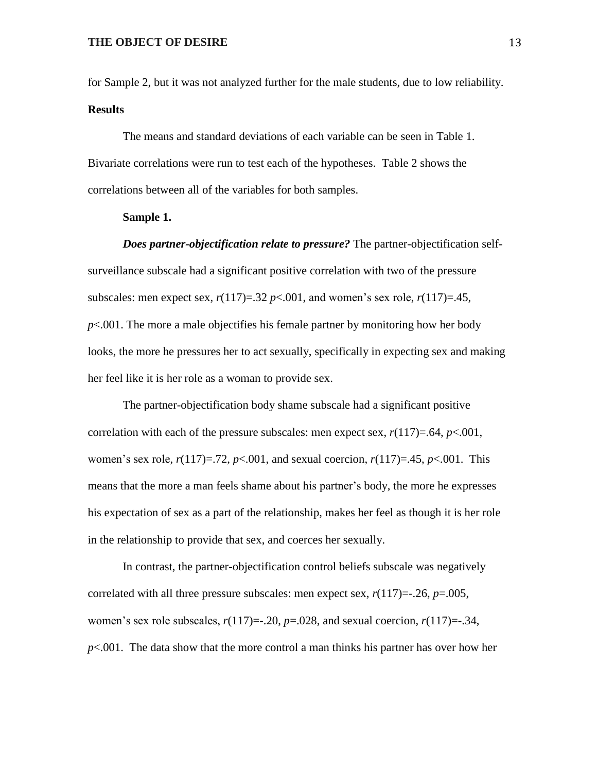for Sample 2, but it was not analyzed further for the male students, due to low reliability. **Results**

The means and standard deviations of each variable can be seen in Table 1. Bivariate correlations were run to test each of the hypotheses. Table 2 shows the correlations between all of the variables for both samples.

#### **Sample 1.**

*Does partner-objectification relate to pressure?* The partner-objectification selfsurveillance subscale had a significant positive correlation with two of the pressure subscales: men expect sex,  $r(117)=.32 \, p<.001$ , and women's sex role,  $r(117)=.45$ , *p*<.001. The more a male objectifies his female partner by monitoring how her body looks, the more he pressures her to act sexually, specifically in expecting sex and making her feel like it is her role as a woman to provide sex.

The partner-objectification body shame subscale had a significant positive correlation with each of the pressure subscales: men expect sex,  $r(117)=.64$ ,  $p<.001$ , women's sex role, *r*(117)=.72, *p*<.001, and sexual coercion, *r*(117)=.45, *p*<.001. This means that the more a man feels shame about his partner's body, the more he expresses his expectation of sex as a part of the relationship, makes her feel as though it is her role in the relationship to provide that sex, and coerces her sexually.

In contrast, the partner-objectification control beliefs subscale was negatively correlated with all three pressure subscales: men expect sex,  $r(117) = -0.26$ ,  $p = 0.005$ , women's sex role subscales,  $r(117) = -0.20$ ,  $p = 0.028$ , and sexual coercion,  $r(117) = -0.34$ , *p*<.001. The data show that the more control a man thinks his partner has over how her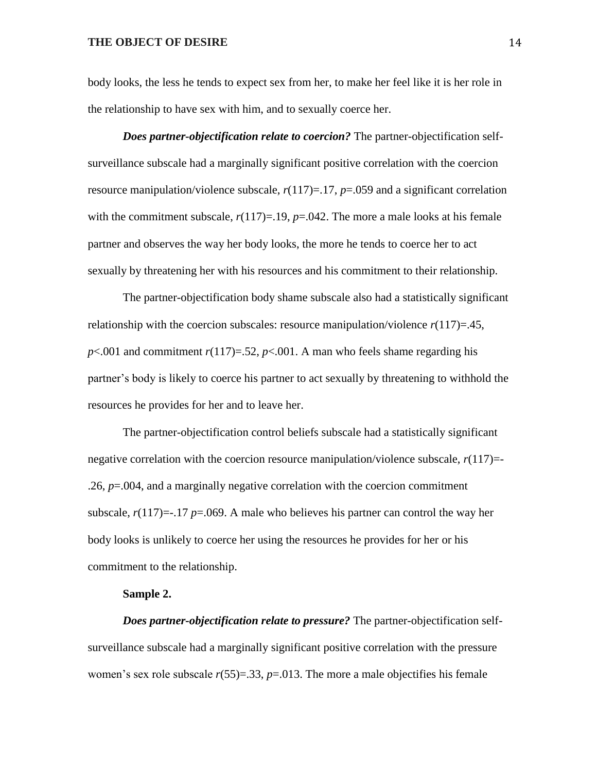body looks, the less he tends to expect sex from her, to make her feel like it is her role in the relationship to have sex with him, and to sexually coerce her.

*Does partner-objectification relate to coercion?* The partner-objectification selfsurveillance subscale had a marginally significant positive correlation with the coercion resource manipulation/violence subscale,  $r(117)=17$ ,  $p=.059$  and a significant correlation with the commitment subscale,  $r(117)=19$ ,  $p=.042$ . The more a male looks at his female partner and observes the way her body looks, the more he tends to coerce her to act sexually by threatening her with his resources and his commitment to their relationship.

The partner-objectification body shame subscale also had a statistically significant relationship with the coercion subscales: resource manipulation/violence  $r(117)=.45$ , *p*<.001 and commitment  $r(117)=52$ , *p*<.001. A man who feels shame regarding his partner's body is likely to coerce his partner to act sexually by threatening to withhold the resources he provides for her and to leave her.

The partner-objectification control beliefs subscale had a statistically significant negative correlation with the coercion resource manipulation/violence subscale,  $r(117)$ = .26, *p*=.004, and a marginally negative correlation with the coercion commitment subscale,  $r(117)$ =-.17  $p$ =.069. A male who believes his partner can control the way her body looks is unlikely to coerce her using the resources he provides for her or his commitment to the relationship.

#### **Sample 2.**

*Does partner-objectification relate to pressure?* The partner-objectification selfsurveillance subscale had a marginally significant positive correlation with the pressure women's sex role subscale  $r(55)=.33$ ,  $p=.013$ . The more a male objectifies his female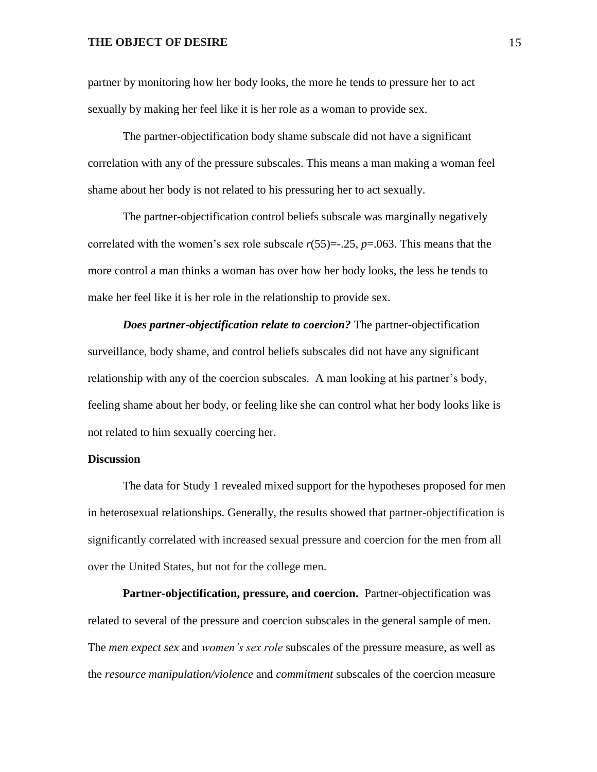partner by monitoring how her body looks, the more he tends to pressure her to act sexually by making her feel like it is her role as a woman to provide sex.

The partner-objectification body shame subscale did not have a significant correlation with any of the pressure subscales. This means a man making a woman feel shame about her body is not related to his pressuring her to act sexually.

The partner-objectification control beliefs subscale was marginally negatively correlated with the women's sex role subscale *r*(55)=-.25, *p*=.063. This means that the more control a man thinks a woman has over how her body looks, the less he tends to make her feel like it is her role in the relationship to provide sex.

*Does partner-objectification relate to coercion?* The partner-objectification surveillance, body shame, and control beliefs subscales did not have any significant relationship with any of the coercion subscales. A man looking at his partner's body, feeling shame about her body, or feeling like she can control what her body looks like is not related to him sexually coercing her.

#### **Discussion**

The data for Study 1 revealed mixed support for the hypotheses proposed for men in heterosexual relationships. Generally, the results showed that partner-objectification is significantly correlated with increased sexual pressure and coercion for the men from all over the United States, but not for the college men.

**Partner-objectification, pressure, and coercion.** Partner-objectification was related to several of the pressure and coercion subscales in the general sample of men. The *men expect sex* and *women's sex role* subscales of the pressure measure, as well as the *resource manipulation/violence* and *commitment* subscales of the coercion measure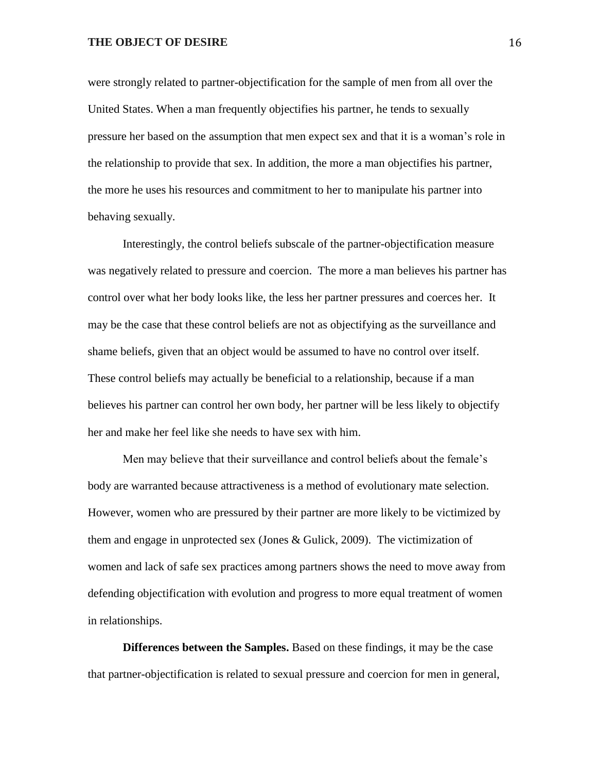were strongly related to partner-objectification for the sample of men from all over the United States. When a man frequently objectifies his partner, he tends to sexually pressure her based on the assumption that men expect sex and that it is a woman's role in the relationship to provide that sex. In addition, the more a man objectifies his partner, the more he uses his resources and commitment to her to manipulate his partner into behaving sexually.

Interestingly, the control beliefs subscale of the partner-objectification measure was negatively related to pressure and coercion. The more a man believes his partner has control over what her body looks like, the less her partner pressures and coerces her. It may be the case that these control beliefs are not as objectifying as the surveillance and shame beliefs, given that an object would be assumed to have no control over itself. These control beliefs may actually be beneficial to a relationship, because if a man believes his partner can control her own body, her partner will be less likely to objectify her and make her feel like she needs to have sex with him.

Men may believe that their surveillance and control beliefs about the female's body are warranted because attractiveness is a method of evolutionary mate selection. However, women who are pressured by their partner are more likely to be victimized by them and engage in unprotected sex (Jones & Gulick, 2009). The victimization of women and lack of safe sex practices among partners shows the need to move away from defending objectification with evolution and progress to more equal treatment of women in relationships.

**Differences between the Samples.** Based on these findings, it may be the case that partner-objectification is related to sexual pressure and coercion for men in general,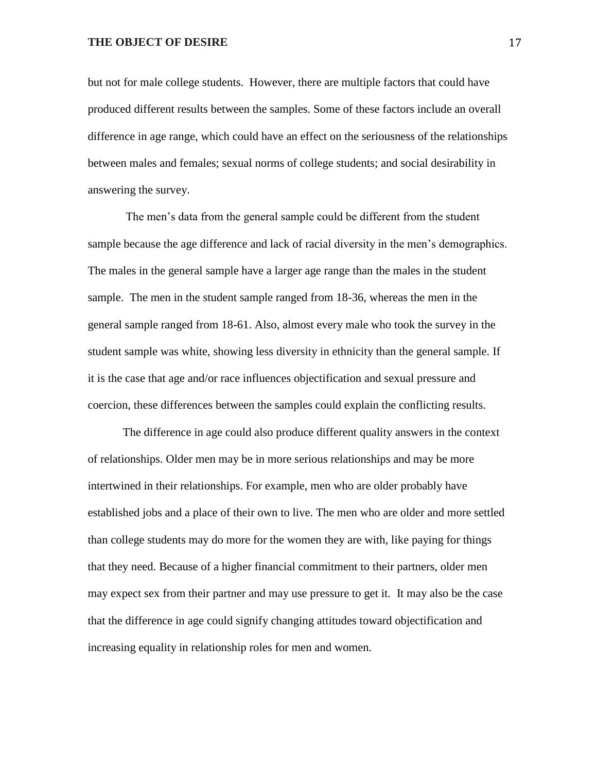but not for male college students. However, there are multiple factors that could have produced different results between the samples. Some of these factors include an overall difference in age range, which could have an effect on the seriousness of the relationships between males and females; sexual norms of college students; and social desirability in answering the survey.

The men's data from the general sample could be different from the student sample because the age difference and lack of racial diversity in the men's demographics. The males in the general sample have a larger age range than the males in the student sample. The men in the student sample ranged from 18-36, whereas the men in the general sample ranged from 18-61. Also, almost every male who took the survey in the student sample was white, showing less diversity in ethnicity than the general sample. If it is the case that age and/or race influences objectification and sexual pressure and coercion, these differences between the samples could explain the conflicting results.

The difference in age could also produce different quality answers in the context of relationships. Older men may be in more serious relationships and may be more intertwined in their relationships. For example, men who are older probably have established jobs and a place of their own to live. The men who are older and more settled than college students may do more for the women they are with, like paying for things that they need. Because of a higher financial commitment to their partners, older men may expect sex from their partner and may use pressure to get it. It may also be the case that the difference in age could signify changing attitudes toward objectification and increasing equality in relationship roles for men and women.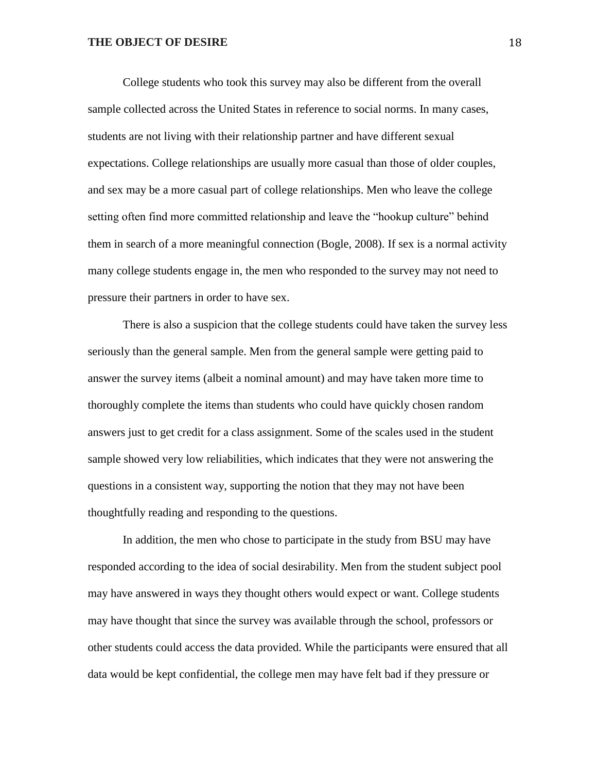College students who took this survey may also be different from the overall sample collected across the United States in reference to social norms. In many cases, students are not living with their relationship partner and have different sexual expectations. College relationships are usually more casual than those of older couples, and sex may be a more casual part of college relationships. Men who leave the college setting often find more committed relationship and leave the "hookup culture" behind them in search of a more meaningful connection (Bogle, 2008). If sex is a normal activity many college students engage in, the men who responded to the survey may not need to pressure their partners in order to have sex.

There is also a suspicion that the college students could have taken the survey less seriously than the general sample. Men from the general sample were getting paid to answer the survey items (albeit a nominal amount) and may have taken more time to thoroughly complete the items than students who could have quickly chosen random answers just to get credit for a class assignment. Some of the scales used in the student sample showed very low reliabilities, which indicates that they were not answering the questions in a consistent way, supporting the notion that they may not have been thoughtfully reading and responding to the questions.

In addition, the men who chose to participate in the study from BSU may have responded according to the idea of social desirability. Men from the student subject pool may have answered in ways they thought others would expect or want. College students may have thought that since the survey was available through the school, professors or other students could access the data provided. While the participants were ensured that all data would be kept confidential, the college men may have felt bad if they pressure or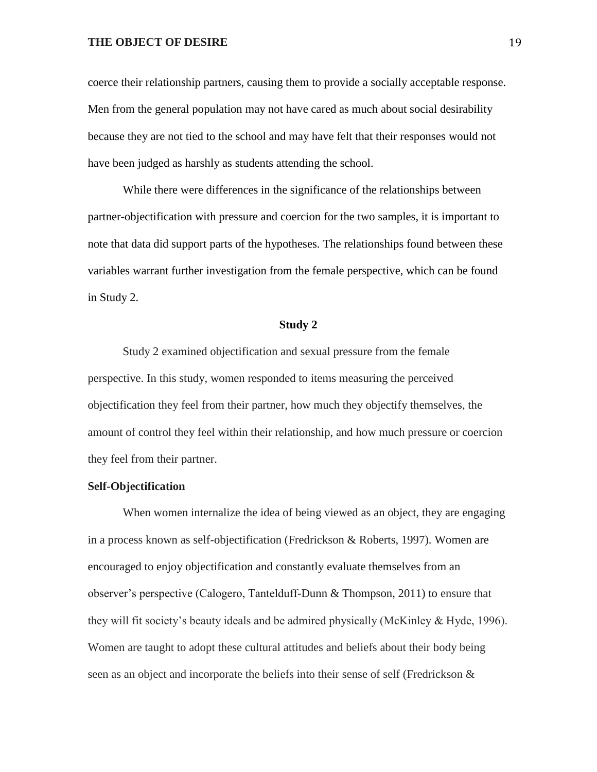coerce their relationship partners, causing them to provide a socially acceptable response. Men from the general population may not have cared as much about social desirability because they are not tied to the school and may have felt that their responses would not have been judged as harshly as students attending the school.

While there were differences in the significance of the relationships between partner-objectification with pressure and coercion for the two samples, it is important to note that data did support parts of the hypotheses. The relationships found between these variables warrant further investigation from the female perspective, which can be found in Study 2.

#### **Study 2**

Study 2 examined objectification and sexual pressure from the female perspective. In this study, women responded to items measuring the perceived objectification they feel from their partner, how much they objectify themselves, the amount of control they feel within their relationship, and how much pressure or coercion they feel from their partner.

#### **Self-Objectification**

When women internalize the idea of being viewed as an object, they are engaging in a process known as self-objectification (Fredrickson & Roberts, 1997). Women are encouraged to enjoy objectification and constantly evaluate themselves from an observer's perspective (Calogero, Tantelduff-Dunn & Thompson, 2011) to ensure that they will fit society's beauty ideals and be admired physically (McKinley & Hyde, 1996). Women are taught to adopt these cultural attitudes and beliefs about their body being seen as an object and incorporate the beliefs into their sense of self (Fredrickson &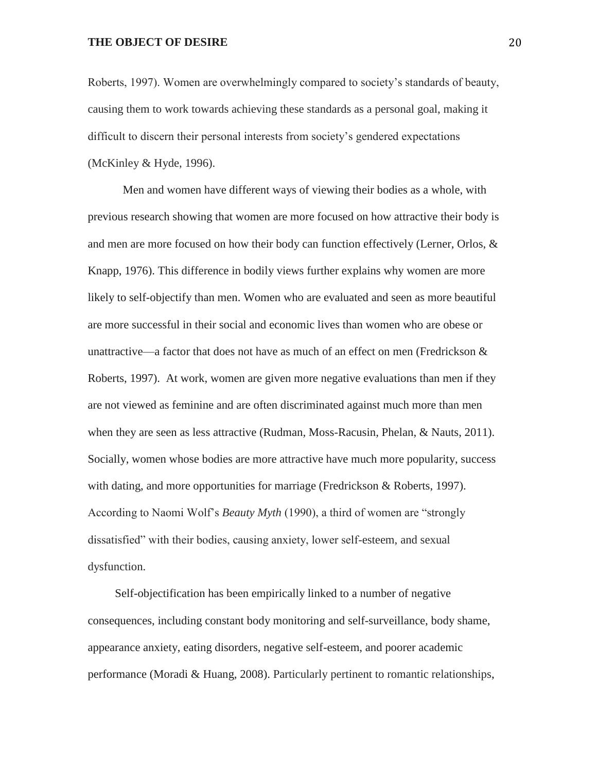Roberts, 1997). Women are overwhelmingly compared to society's standards of beauty, causing them to work towards achieving these standards as a personal goal, making it difficult to discern their personal interests from society's gendered expectations (McKinley & Hyde, 1996).

Men and women have different ways of viewing their bodies as a whole, with previous research showing that women are more focused on how attractive their body is and men are more focused on how their body can function effectively (Lerner, Orlos, & Knapp, 1976). This difference in bodily views further explains why women are more likely to self-objectify than men. Women who are evaluated and seen as more beautiful are more successful in their social and economic lives than women who are obese or unattractive—a factor that does not have as much of an effect on men (Fredrickson  $\&$ Roberts, 1997). At work, women are given more negative evaluations than men if they are not viewed as feminine and are often discriminated against much more than men when they are seen as less attractive (Rudman, Moss-Racusin, Phelan, & Nauts, 2011). Socially, women whose bodies are more attractive have much more popularity, success with dating, and more opportunities for marriage (Fredrickson & Roberts, 1997). According to Naomi Wolf's *Beauty Myth* (1990), a third of women are "strongly dissatisfied" with their bodies, causing anxiety, lower self-esteem, and sexual dysfunction.

Self-objectification has been empirically linked to a number of negative consequences, including constant body monitoring and self-surveillance, body shame, appearance anxiety, eating disorders, negative self-esteem, and poorer academic performance (Moradi & Huang, 2008). Particularly pertinent to romantic relationships,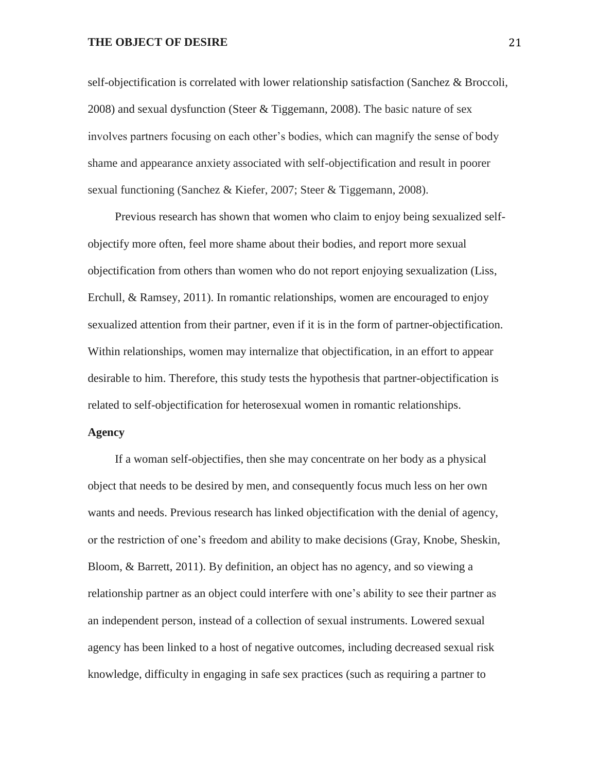self-objectification is correlated with lower relationship satisfaction (Sanchez & Broccoli, 2008) and sexual dysfunction (Steer & Tiggemann, 2008). The basic nature of sex involves partners focusing on each other's bodies, which can magnify the sense of body shame and appearance anxiety associated with self-objectification and result in poorer sexual functioning (Sanchez & Kiefer, 2007; Steer & Tiggemann, 2008).

Previous research has shown that women who claim to enjoy being sexualized selfobjectify more often, feel more shame about their bodies, and report more sexual objectification from others than women who do not report enjoying sexualization (Liss, Erchull, & Ramsey, 2011). In romantic relationships, women are encouraged to enjoy sexualized attention from their partner, even if it is in the form of partner-objectification. Within relationships, women may internalize that objectification, in an effort to appear desirable to him. Therefore, this study tests the hypothesis that partner-objectification is related to self-objectification for heterosexual women in romantic relationships.

#### **Agency**

If a woman self-objectifies, then she may concentrate on her body as a physical object that needs to be desired by men, and consequently focus much less on her own wants and needs. Previous research has linked objectification with the denial of agency, or the restriction of one's freedom and ability to make decisions (Gray, Knobe, Sheskin, Bloom, & Barrett, 2011). By definition, an object has no agency, and so viewing a relationship partner as an object could interfere with one's ability to see their partner as an independent person, instead of a collection of sexual instruments. Lowered sexual agency has been linked to a host of negative outcomes, including decreased sexual risk knowledge, difficulty in engaging in safe sex practices (such as requiring a partner to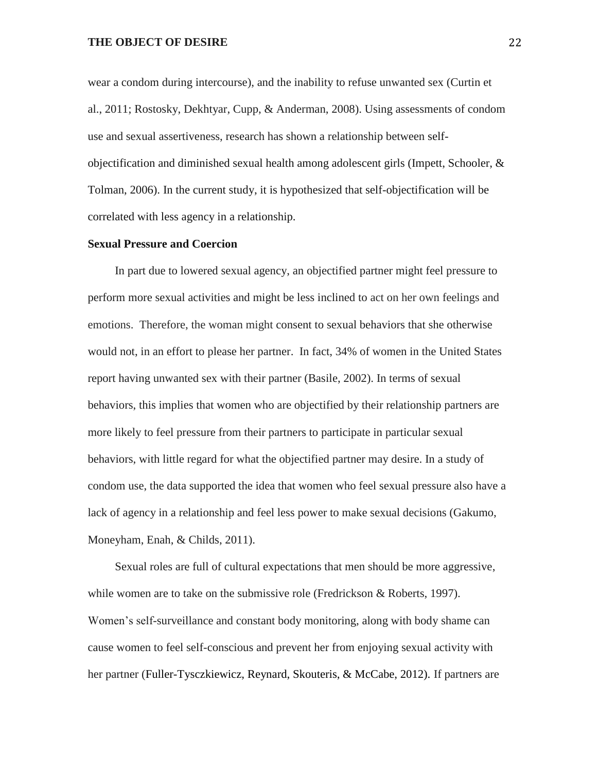wear a condom during intercourse), and the inability to refuse unwanted sex (Curtin et al., 2011; Rostosky, Dekhtyar, Cupp, & Anderman, 2008). Using assessments of condom use and sexual assertiveness, research has shown a relationship between selfobjectification and diminished sexual health among adolescent girls (Impett, Schooler, & Tolman, 2006). In the current study, it is hypothesized that self-objectification will be correlated with less agency in a relationship.

#### **Sexual Pressure and Coercion**

In part due to lowered sexual agency, an objectified partner might feel pressure to perform more sexual activities and might be less inclined to act on her own feelings and emotions. Therefore, the woman might consent to sexual behaviors that she otherwise would not, in an effort to please her partner. In fact, 34% of women in the United States report having unwanted sex with their partner (Basile, 2002). In terms of sexual behaviors, this implies that women who are objectified by their relationship partners are more likely to feel pressure from their partners to participate in particular sexual behaviors, with little regard for what the objectified partner may desire. In a study of condom use, the data supported the idea that women who feel sexual pressure also have a lack of agency in a relationship and feel less power to make sexual decisions (Gakumo, Moneyham, Enah, & Childs, 2011).

Sexual roles are full of cultural expectations that men should be more aggressive, while women are to take on the submissive role (Fredrickson & Roberts, 1997). Women's self-surveillance and constant body monitoring, along with body shame can cause women to feel self-conscious and prevent her from enjoying sexual activity with her partner (Fuller-Tysczkiewicz, Reynard, Skouteris, & McCabe, 2012). If partners are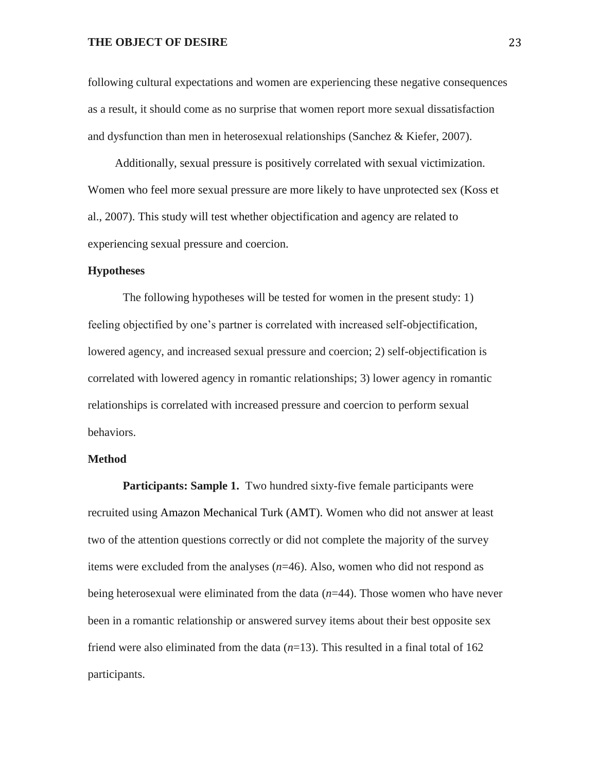following cultural expectations and women are experiencing these negative consequences as a result, it should come as no surprise that women report more sexual dissatisfaction and dysfunction than men in heterosexual relationships (Sanchez & Kiefer, 2007).

Additionally, sexual pressure is positively correlated with sexual victimization. Women who feel more sexual pressure are more likely to have unprotected sex (Koss et al., 2007). This study will test whether objectification and agency are related to experiencing sexual pressure and coercion.

#### **Hypotheses**

The following hypotheses will be tested for women in the present study: 1) feeling objectified by one's partner is correlated with increased self-objectification, lowered agency, and increased sexual pressure and coercion; 2) self-objectification is correlated with lowered agency in romantic relationships; 3) lower agency in romantic relationships is correlated with increased pressure and coercion to perform sexual behaviors.

#### **Method**

**Participants: Sample 1.** Two hundred sixty-five female participants were recruited using Amazon Mechanical Turk (AMT). Women who did not answer at least two of the attention questions correctly or did not complete the majority of the survey items were excluded from the analyses (*n*=46). Also, women who did not respond as being heterosexual were eliminated from the data (*n*=44). Those women who have never been in a romantic relationship or answered survey items about their best opposite sex friend were also eliminated from the data  $(n=13)$ . This resulted in a final total of 162 participants.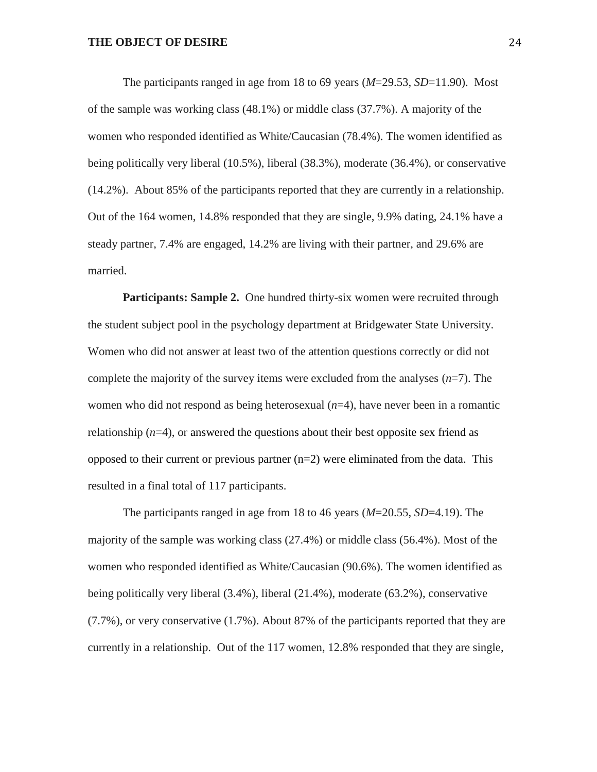The participants ranged in age from 18 to 69 years (*M*=29.53, *SD*=11.90). Most of the sample was working class (48.1%) or middle class (37.7%). A majority of the women who responded identified as White/Caucasian (78.4%). The women identified as being politically very liberal (10.5%), liberal (38.3%), moderate (36.4%), or conservative (14.2%). About 85% of the participants reported that they are currently in a relationship. Out of the 164 women, 14.8% responded that they are single, 9.9% dating, 24.1% have a steady partner, 7.4% are engaged, 14.2% are living with their partner, and 29.6% are married.

**Participants: Sample 2.** One hundred thirty-six women were recruited through the student subject pool in the psychology department at Bridgewater State University. Women who did not answer at least two of the attention questions correctly or did not complete the majority of the survey items were excluded from the analyses  $(n=7)$ . The women who did not respond as being heterosexual (*n*=4), have never been in a romantic relationship  $(n=4)$ , or answered the questions about their best opposite sex friend as opposed to their current or previous partner  $(n=2)$  were eliminated from the data. This resulted in a final total of 117 participants.

The participants ranged in age from 18 to 46 years (*M*=20.55, *SD*=4.19). The majority of the sample was working class (27.4%) or middle class (56.4%). Most of the women who responded identified as White/Caucasian (90.6%). The women identified as being politically very liberal (3.4%), liberal (21.4%), moderate (63.2%), conservative (7.7%), or very conservative (1.7%). About 87% of the participants reported that they are currently in a relationship. Out of the 117 women, 12.8% responded that they are single,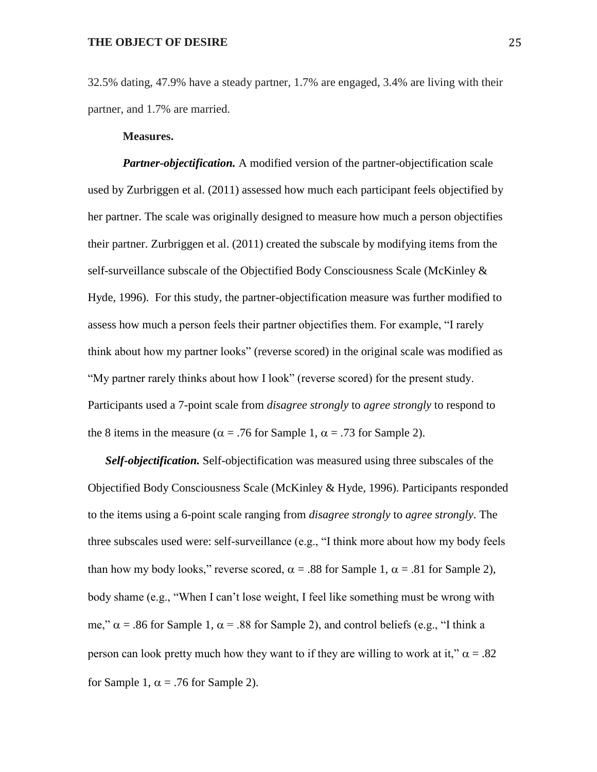32.5% dating, 47.9% have a steady partner, 1.7% are engaged, 3.4% are living with their partner, and 1.7% are married.

#### **Measures.**

*Partner-objectification.* A modified version of the partner-objectification scale used by Zurbriggen et al. (2011) assessed how much each participant feels objectified by her partner. The scale was originally designed to measure how much a person objectifies their partner. Zurbriggen et al. (2011) created the subscale by modifying items from the self-surveillance subscale of the Objectified Body Consciousness Scale (McKinley & Hyde, 1996). For this study, the partner-objectification measure was further modified to assess how much a person feels their partner objectifies them. For example, "I rarely think about how my partner looks" (reverse scored) in the original scale was modified as "My partner rarely thinks about how I look" (reverse scored) for the present study. Participants used a 7-point scale from *disagree strongly* to *agree strongly* to respond to the 8 items in the measure ( $\alpha$  = .76 for Sample 1,  $\alpha$  = .73 for Sample 2).

*Self-objectification.* Self-objectification was measured using three subscales of the Objectified Body Consciousness Scale (McKinley & Hyde, 1996). Participants responded to the items using a 6-point scale ranging from *disagree strongly* to *agree strongly*. The three subscales used were: self-surveillance (e.g., "I think more about how my body feels than how my body looks," reverse scored,  $\alpha = .88$  for Sample 1,  $\alpha = .81$  for Sample 2), body shame (e.g., "When I can't lose weight, I feel like something must be wrong with me,"  $\alpha$  = .86 for Sample 1,  $\alpha$  = .88 for Sample 2), and control beliefs (e.g., "I think a person can look pretty much how they want to if they are willing to work at it,"  $\alpha = .82$ for Sample 1,  $\alpha$  = .76 for Sample 2).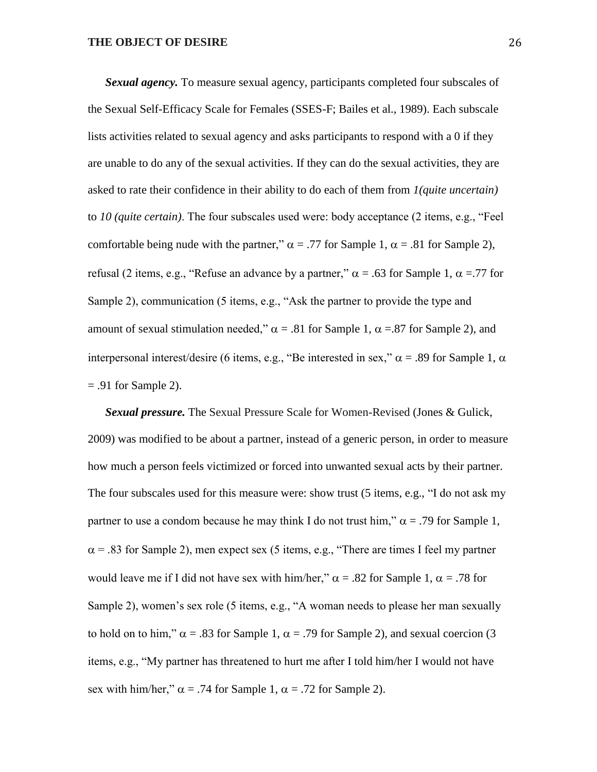*Sexual agency.* To measure sexual agency, participants completed four subscales of the Sexual Self-Efficacy Scale for Females (SSES-F; Bailes et al., 1989). Each subscale lists activities related to sexual agency and asks participants to respond with a 0 if they are unable to do any of the sexual activities. If they can do the sexual activities, they are asked to rate their confidence in their ability to do each of them from *1(quite uncertain)* to *10 (quite certain)*. The four subscales used were: body acceptance (2 items, e.g., "Feel comfortable being nude with the partner,"  $\alpha$  = .77 for Sample 1,  $\alpha$  = .81 for Sample 2), refusal (2 items, e.g., "Refuse an advance by a partner,"  $\alpha$  = .63 for Sample 1,  $\alpha$  = .77 for Sample 2), communication (5 items, e.g., "Ask the partner to provide the type and amount of sexual stimulation needed,"  $\alpha = .81$  for Sample 1,  $\alpha = .87$  for Sample 2), and interpersonal interest/desire (6 items, e.g., "Be interested in sex,"  $\alpha$  = .89 for Sample 1,  $\alpha$  $= .91$  for Sample 2).

*Sexual pressure.* The Sexual Pressure Scale for Women-Revised (Jones & Gulick, 2009) was modified to be about a partner, instead of a generic person, in order to measure how much a person feels victimized or forced into unwanted sexual acts by their partner. The four subscales used for this measure were: show trust (5 items, e.g., "I do not ask my partner to use a condom because he may think I do not trust him,"  $\alpha$  = .79 for Sample 1,  $\alpha$  = .83 for Sample 2), men expect sex (5 items, e.g., "There are times I feel my partner would leave me if I did not have sex with him/her,"  $\alpha$  = .82 for Sample 1,  $\alpha$  = .78 for Sample 2), women's sex role (5 items, e.g., "A woman needs to please her man sexually to hold on to him,"  $\alpha = .83$  for Sample 1,  $\alpha = .79$  for Sample 2), and sexual coercion (3) items, e.g., "My partner has threatened to hurt me after I told him/her I would not have sex with him/her,"  $\alpha$  = .74 for Sample 1,  $\alpha$  = .72 for Sample 2).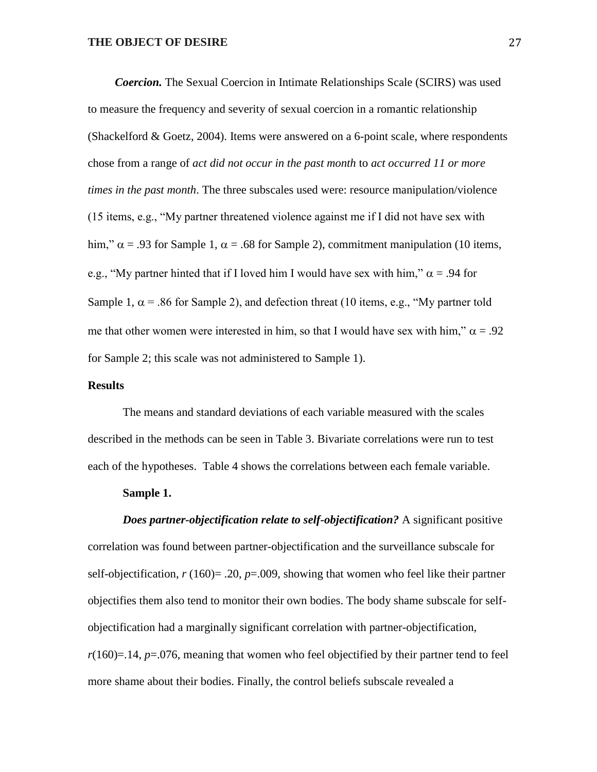*Coercion.* The Sexual Coercion in Intimate Relationships Scale (SCIRS) was used to measure the frequency and severity of sexual coercion in a romantic relationship (Shackelford  $& Goetz, 2004$ ). Items were answered on a 6-point scale, where respondents chose from a range of *act did not occur in the past month* to *act occurred 11 or more times in the past month*. The three subscales used were: resource manipulation/violence (15 items, e.g., "My partner threatened violence against me if I did not have sex with him,"  $\alpha$  = .93 for Sample 1,  $\alpha$  = .68 for Sample 2), commitment manipulation (10 items, e.g., "My partner hinted that if I loved him I would have sex with him,"  $\alpha$  = .94 for Sample 1,  $\alpha$  = .86 for Sample 2), and defection threat (10 items, e.g., "My partner told me that other women were interested in him, so that I would have sex with him,"  $\alpha = .92$ for Sample 2; this scale was not administered to Sample 1).

#### **Results**

The means and standard deviations of each variable measured with the scales described in the methods can be seen in Table 3. Bivariate correlations were run to test each of the hypotheses. Table 4 shows the correlations between each female variable.

#### **Sample 1.**

*Does partner-objectification relate to self-objectification?* A significant positive correlation was found between partner-objectification and the surveillance subscale for self-objectification,  $r(160) = .20$ ,  $p = .009$ , showing that women who feel like their partner objectifies them also tend to monitor their own bodies. The body shame subscale for selfobjectification had a marginally significant correlation with partner-objectification,  $r(160)=14$ ,  $p=.076$ , meaning that women who feel objectified by their partner tend to feel more shame about their bodies. Finally, the control beliefs subscale revealed a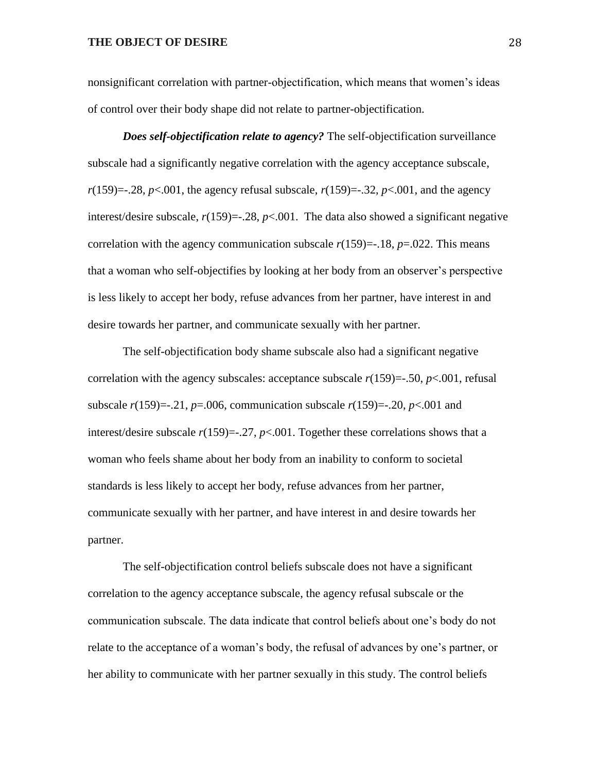nonsignificant correlation with partner-objectification, which means that women's ideas of control over their body shape did not relate to partner-objectification.

*Does self-objectification relate to agency?* The self-objectification surveillance subscale had a significantly negative correlation with the agency acceptance subscale, *r*(159)=-.28, *p*<.001, the agency refusal subscale, *r*(159)=-.32, *p*<.001, and the agency interest/desire subscale,  $r(159) = -0.28$ ,  $p < 0.001$ . The data also showed a significant negative correlation with the agency communication subscale  $r(159)$ = $-.18$ ,  $p=0.022$ . This means that a woman who self-objectifies by looking at her body from an observer's perspective is less likely to accept her body, refuse advances from her partner, have interest in and desire towards her partner, and communicate sexually with her partner.

The self-objectification body shame subscale also had a significant negative correlation with the agency subscales: acceptance subscale  $r(159) = .50$ ,  $p < .001$ , refusal subscale  $r(159) = -0.21$ ,  $p = 0.006$ , communication subscale  $r(159) = -0.20$ ,  $p < 0.001$  and interest/desire subscale  $r(159) = -27$ ,  $p < .001$ . Together these correlations shows that a woman who feels shame about her body from an inability to conform to societal standards is less likely to accept her body, refuse advances from her partner, communicate sexually with her partner, and have interest in and desire towards her partner.

The self-objectification control beliefs subscale does not have a significant correlation to the agency acceptance subscale, the agency refusal subscale or the communication subscale. The data indicate that control beliefs about one's body do not relate to the acceptance of a woman's body, the refusal of advances by one's partner, or her ability to communicate with her partner sexually in this study. The control beliefs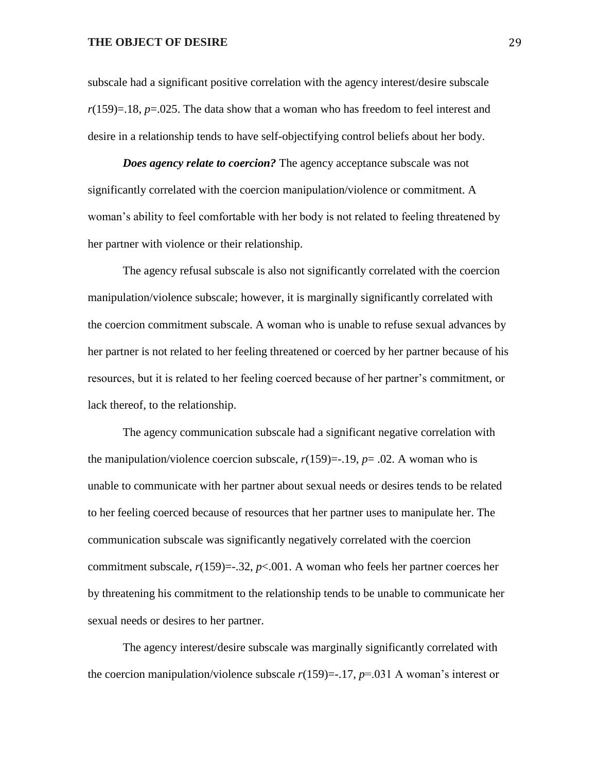subscale had a significant positive correlation with the agency interest/desire subscale *r*(159)=.18, *p*=.025. The data show that a woman who has freedom to feel interest and desire in a relationship tends to have self-objectifying control beliefs about her body.

*Does agency relate to coercion?* The agency acceptance subscale was not significantly correlated with the coercion manipulation/violence or commitment. A woman's ability to feel comfortable with her body is not related to feeling threatened by her partner with violence or their relationship.

The agency refusal subscale is also not significantly correlated with the coercion manipulation/violence subscale; however, it is marginally significantly correlated with the coercion commitment subscale. A woman who is unable to refuse sexual advances by her partner is not related to her feeling threatened or coerced by her partner because of his resources, but it is related to her feeling coerced because of her partner's commitment, or lack thereof, to the relationship.

The agency communication subscale had a significant negative correlation with the manipulation/violence coercion subscale,  $r(159)$ =-.19,  $p=$ .02. A woman who is unable to communicate with her partner about sexual needs or desires tends to be related to her feeling coerced because of resources that her partner uses to manipulate her. The communication subscale was significantly negatively correlated with the coercion commitment subscale,  $r(159) = .32$ ,  $p < .001$ . A woman who feels her partner coerces her by threatening his commitment to the relationship tends to be unable to communicate her sexual needs or desires to her partner.

The agency interest/desire subscale was marginally significantly correlated with the coercion manipulation/violence subscale  $r(159) = -17$ ,  $p = -031$  A woman's interest or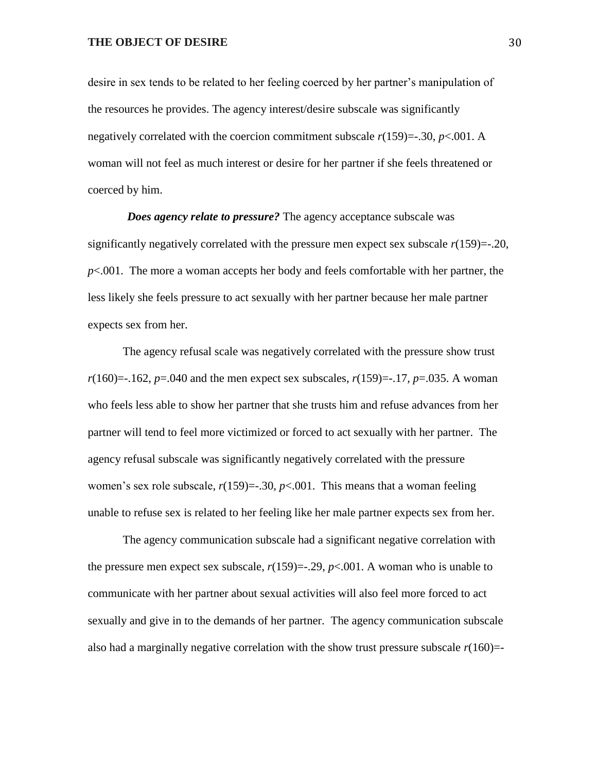desire in sex tends to be related to her feeling coerced by her partner's manipulation of the resources he provides. The agency interest/desire subscale was significantly negatively correlated with the coercion commitment subscale  $r(159) = -0.30$ ,  $p < 0.001$ . A woman will not feel as much interest or desire for her partner if she feels threatened or coerced by him.

*Does agency relate to pressure?* The agency acceptance subscale was significantly negatively correlated with the pressure men expect sex subscale  $r(159) = -20$ , *p*<.001. The more a woman accepts her body and feels comfortable with her partner, the less likely she feels pressure to act sexually with her partner because her male partner expects sex from her.

The agency refusal scale was negatively correlated with the pressure show trust  $r(160) = -162$ ,  $p = 040$  and the men expect sex subscales,  $r(159) = -17$ ,  $p = 0.035$ . A woman who feels less able to show her partner that she trusts him and refuse advances from her partner will tend to feel more victimized or forced to act sexually with her partner. The agency refusal subscale was significantly negatively correlated with the pressure women's sex role subscale,  $r(159) = -0.30$ ,  $p < 0.001$ . This means that a woman feeling unable to refuse sex is related to her feeling like her male partner expects sex from her.

The agency communication subscale had a significant negative correlation with the pressure men expect sex subscale,  $r(159) = -0.29$ ,  $p < 0.001$ . A woman who is unable to communicate with her partner about sexual activities will also feel more forced to act sexually and give in to the demands of her partner. The agency communication subscale also had a marginally negative correlation with the show trust pressure subscale  $r(160)=$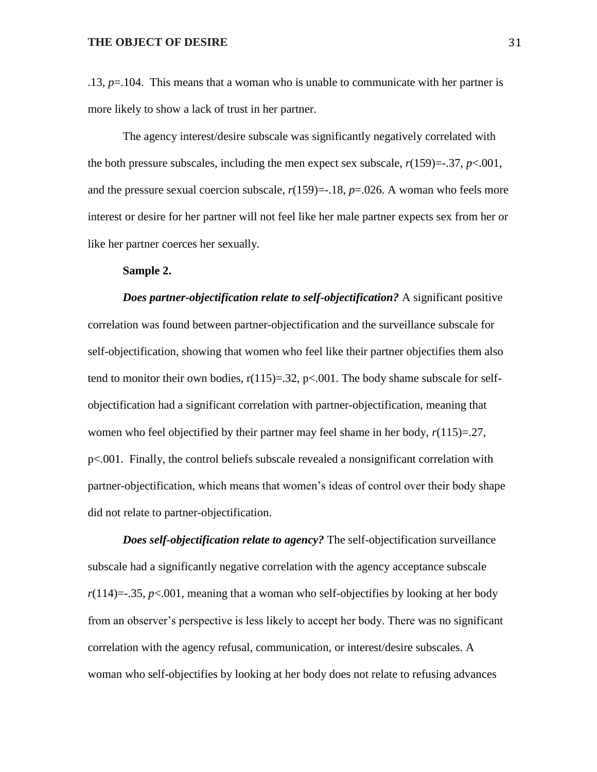.13, *p*=.104. This means that a woman who is unable to communicate with her partner is more likely to show a lack of trust in her partner.

The agency interest/desire subscale was significantly negatively correlated with the both pressure subscales, including the men expect sex subscale,  $r(159) = -0.37$ ,  $p < 0.001$ , and the pressure sexual coercion subscale,  $r(159)$ =-.18,  $p=0.026$ . A woman who feels more interest or desire for her partner will not feel like her male partner expects sex from her or like her partner coerces her sexually.

#### **Sample 2.**

*Does partner-objectification relate to self-objectification?* A significant positive correlation was found between partner-objectification and the surveillance subscale for self-objectification, showing that women who feel like their partner objectifies them also tend to monitor their own bodies,  $r(115)=.32$ ,  $p<.001$ . The body shame subscale for selfobjectification had a significant correlation with partner-objectification, meaning that women who feel objectified by their partner may feel shame in her body,  $r(115)=.27$ , p<.001. Finally, the control beliefs subscale revealed a nonsignificant correlation with partner-objectification, which means that women's ideas of control over their body shape did not relate to partner-objectification.

*Does self-objectification relate to agency?* The self-objectification surveillance subscale had a significantly negative correlation with the agency acceptance subscale  $r(114)=35$ ,  $p<.001$ , meaning that a woman who self-objectifies by looking at her body from an observer's perspective is less likely to accept her body. There was no significant correlation with the agency refusal, communication, or interest/desire subscales. A woman who self-objectifies by looking at her body does not relate to refusing advances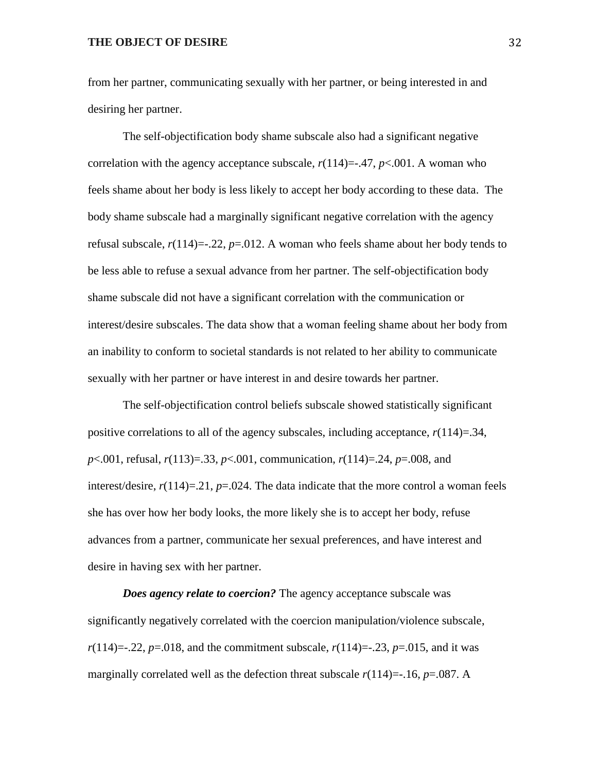from her partner, communicating sexually with her partner, or being interested in and desiring her partner.

The self-objectification body shame subscale also had a significant negative correlation with the agency acceptance subscale,  $r(114)=-.47$ ,  $p<.001$ . A woman who feels shame about her body is less likely to accept her body according to these data. The body shame subscale had a marginally significant negative correlation with the agency refusal subscale, *r*(114)=-.22, *p*=.012. A woman who feels shame about her body tends to be less able to refuse a sexual advance from her partner. The self-objectification body shame subscale did not have a significant correlation with the communication or interest/desire subscales. The data show that a woman feeling shame about her body from an inability to conform to societal standards is not related to her ability to communicate sexually with her partner or have interest in and desire towards her partner.

The self-objectification control beliefs subscale showed statistically significant positive correlations to all of the agency subscales, including acceptance, *r*(114)=.34, *p*<.001, refusal, *r*(113)=.33, *p*<.001, communication, *r*(114)=.24, *p*=.008, and interest/desire,  $r(114)=21$ ,  $p=.024$ . The data indicate that the more control a woman feels she has over how her body looks, the more likely she is to accept her body, refuse advances from a partner, communicate her sexual preferences, and have interest and desire in having sex with her partner.

*Does agency relate to coercion?* The agency acceptance subscale was significantly negatively correlated with the coercion manipulation/violence subscale, *r*(114)=-.22, *p*=.018, and the commitment subscale, *r*(114)=-.23, *p*=.015, and it was marginally correlated well as the defection threat subscale  $r(114)=16$ ,  $p=.087$ . A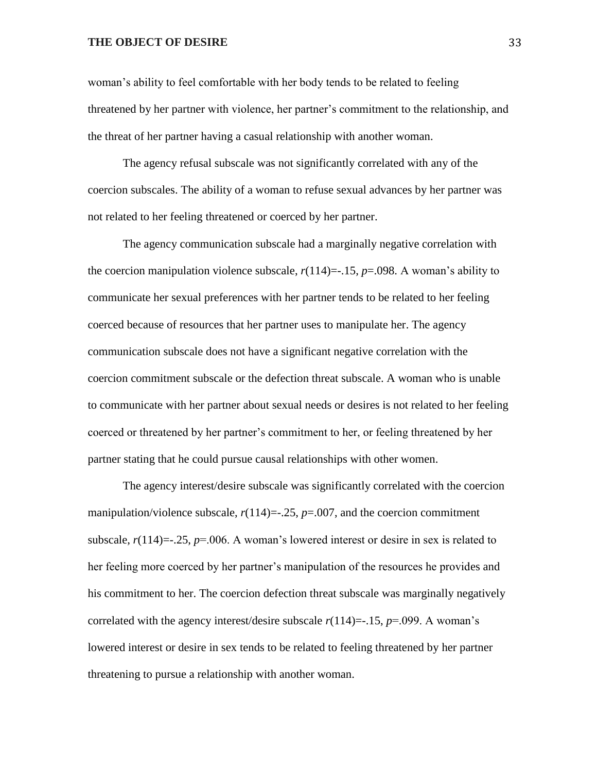woman's ability to feel comfortable with her body tends to be related to feeling threatened by her partner with violence, her partner's commitment to the relationship, and the threat of her partner having a casual relationship with another woman.

The agency refusal subscale was not significantly correlated with any of the coercion subscales. The ability of a woman to refuse sexual advances by her partner was not related to her feeling threatened or coerced by her partner.

The agency communication subscale had a marginally negative correlation with the coercion manipulation violence subscale,  $r(114) = -15$ ,  $p = .098$ . A woman's ability to communicate her sexual preferences with her partner tends to be related to her feeling coerced because of resources that her partner uses to manipulate her. The agency communication subscale does not have a significant negative correlation with the coercion commitment subscale or the defection threat subscale. A woman who is unable to communicate with her partner about sexual needs or desires is not related to her feeling coerced or threatened by her partner's commitment to her, or feeling threatened by her partner stating that he could pursue causal relationships with other women.

The agency interest/desire subscale was significantly correlated with the coercion manipulation/violence subscale,  $r(114) = -0.25$ ,  $p = 0.007$ , and the coercion commitment subscale,  $r(114) = -0.25$ ,  $p = 0.006$ . A woman's lowered interest or desire in sex is related to her feeling more coerced by her partner's manipulation of the resources he provides and his commitment to her. The coercion defection threat subscale was marginally negatively correlated with the agency interest/desire subscale  $r(114)$ =-.15,  $p$ =.099. A woman's lowered interest or desire in sex tends to be related to feeling threatened by her partner threatening to pursue a relationship with another woman.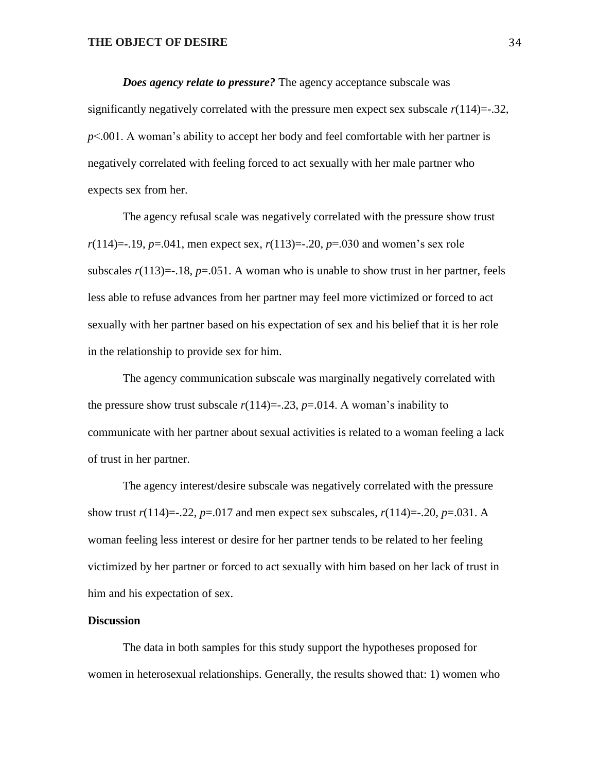*Does agency relate to pressure?* The agency acceptance subscale was significantly negatively correlated with the pressure men expect sex subscale  $r(114)=32$ , *p*<.001. A woman's ability to accept her body and feel comfortable with her partner is negatively correlated with feeling forced to act sexually with her male partner who expects sex from her.

The agency refusal scale was negatively correlated with the pressure show trust  $r(114) = -19$ ,  $p = 0.041$ , men expect sex,  $r(113) = -20$ ,  $p = 0.030$  and women's sex role subscales  $r(113) = -18$ ,  $p = .051$ . A woman who is unable to show trust in her partner, feels less able to refuse advances from her partner may feel more victimized or forced to act sexually with her partner based on his expectation of sex and his belief that it is her role in the relationship to provide sex for him.

The agency communication subscale was marginally negatively correlated with the pressure show trust subscale  $r(114) = -0.23$ ,  $p = 0.014$ . A woman's inability to communicate with her partner about sexual activities is related to a woman feeling a lack of trust in her partner.

The agency interest/desire subscale was negatively correlated with the pressure show trust  $r(114)=-.22$ ,  $p=.017$  and men expect sex subscales,  $r(114)=-.20$ ,  $p=.031$ . A woman feeling less interest or desire for her partner tends to be related to her feeling victimized by her partner or forced to act sexually with him based on her lack of trust in him and his expectation of sex.

#### **Discussion**

The data in both samples for this study support the hypotheses proposed for women in heterosexual relationships. Generally, the results showed that: 1) women who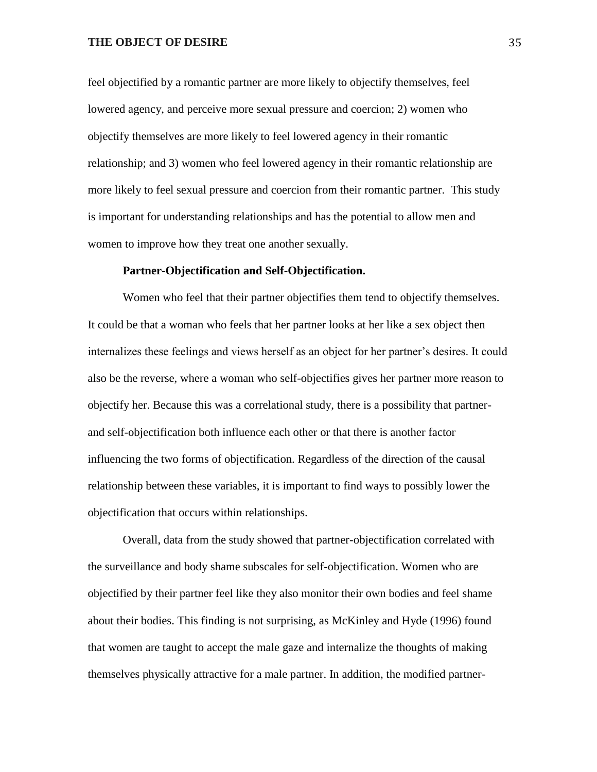feel objectified by a romantic partner are more likely to objectify themselves, feel lowered agency, and perceive more sexual pressure and coercion; 2) women who objectify themselves are more likely to feel lowered agency in their romantic relationship; and 3) women who feel lowered agency in their romantic relationship are more likely to feel sexual pressure and coercion from their romantic partner. This study is important for understanding relationships and has the potential to allow men and women to improve how they treat one another sexually.

#### **Partner-Objectification and Self-Objectification.**

Women who feel that their partner objectifies them tend to objectify themselves. It could be that a woman who feels that her partner looks at her like a sex object then internalizes these feelings and views herself as an object for her partner's desires. It could also be the reverse, where a woman who self-objectifies gives her partner more reason to objectify her. Because this was a correlational study, there is a possibility that partnerand self-objectification both influence each other or that there is another factor influencing the two forms of objectification. Regardless of the direction of the causal relationship between these variables, it is important to find ways to possibly lower the objectification that occurs within relationships.

Overall, data from the study showed that partner-objectification correlated with the surveillance and body shame subscales for self-objectification. Women who are objectified by their partner feel like they also monitor their own bodies and feel shame about their bodies. This finding is not surprising, as McKinley and Hyde (1996) found that women are taught to accept the male gaze and internalize the thoughts of making themselves physically attractive for a male partner. In addition, the modified partner-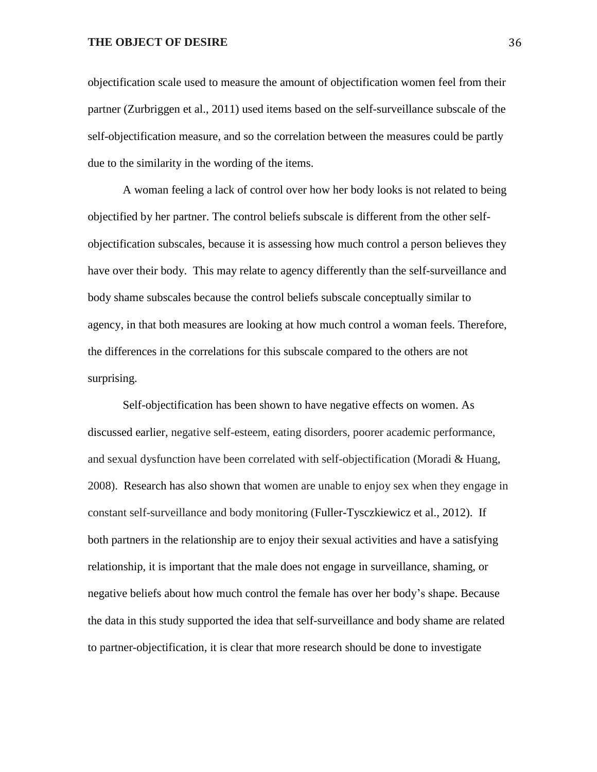objectification scale used to measure the amount of objectification women feel from their partner (Zurbriggen et al., 2011) used items based on the self-surveillance subscale of the self-objectification measure, and so the correlation between the measures could be partly due to the similarity in the wording of the items.

A woman feeling a lack of control over how her body looks is not related to being objectified by her partner. The control beliefs subscale is different from the other selfobjectification subscales, because it is assessing how much control a person believes they have over their body. This may relate to agency differently than the self-surveillance and body shame subscales because the control beliefs subscale conceptually similar to agency, in that both measures are looking at how much control a woman feels. Therefore, the differences in the correlations for this subscale compared to the others are not surprising.

Self-objectification has been shown to have negative effects on women. As discussed earlier, negative self-esteem, eating disorders, poorer academic performance, and sexual dysfunction have been correlated with self-objectification (Moradi & Huang, 2008). Research has also shown that women are unable to enjoy sex when they engage in constant self-surveillance and body monitoring (Fuller-Tysczkiewicz et al., 2012). If both partners in the relationship are to enjoy their sexual activities and have a satisfying relationship, it is important that the male does not engage in surveillance, shaming, or negative beliefs about how much control the female has over her body's shape. Because the data in this study supported the idea that self-surveillance and body shame are related to partner-objectification, it is clear that more research should be done to investigate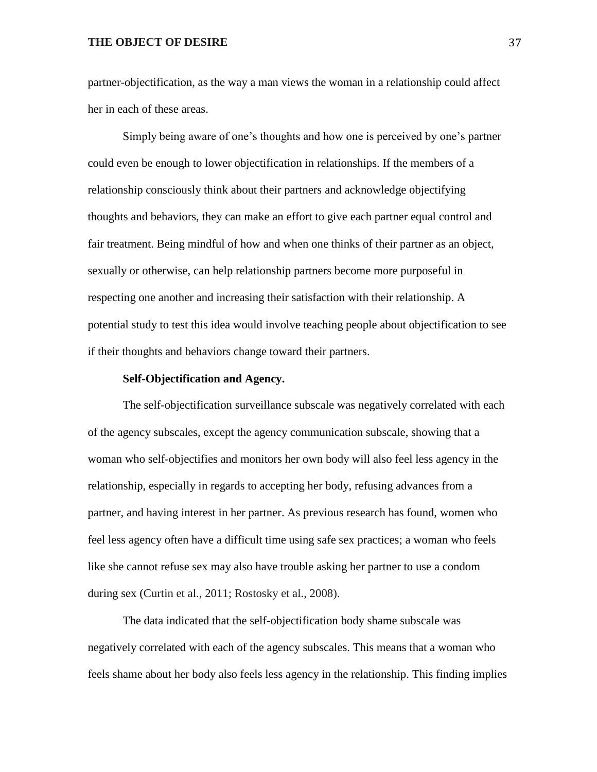partner-objectification, as the way a man views the woman in a relationship could affect her in each of these areas.

Simply being aware of one's thoughts and how one is perceived by one's partner could even be enough to lower objectification in relationships. If the members of a relationship consciously think about their partners and acknowledge objectifying thoughts and behaviors, they can make an effort to give each partner equal control and fair treatment. Being mindful of how and when one thinks of their partner as an object, sexually or otherwise, can help relationship partners become more purposeful in respecting one another and increasing their satisfaction with their relationship. A potential study to test this idea would involve teaching people about objectification to see if their thoughts and behaviors change toward their partners.

#### **Self-Objectification and Agency.**

The self-objectification surveillance subscale was negatively correlated with each of the agency subscales, except the agency communication subscale, showing that a woman who self-objectifies and monitors her own body will also feel less agency in the relationship, especially in regards to accepting her body, refusing advances from a partner, and having interest in her partner. As previous research has found, women who feel less agency often have a difficult time using safe sex practices; a woman who feels like she cannot refuse sex may also have trouble asking her partner to use a condom during sex (Curtin et al., 2011; Rostosky et al., 2008).

The data indicated that the self-objectification body shame subscale was negatively correlated with each of the agency subscales. This means that a woman who feels shame about her body also feels less agency in the relationship. This finding implies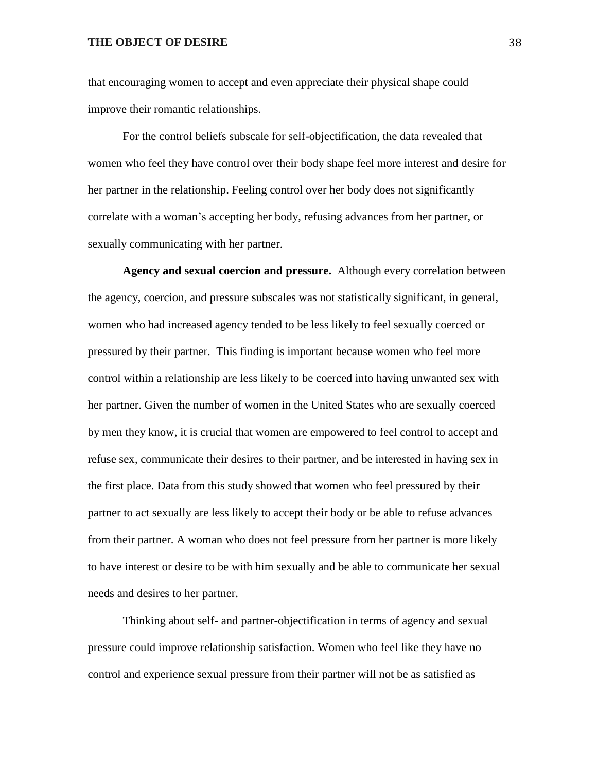that encouraging women to accept and even appreciate their physical shape could improve their romantic relationships.

For the control beliefs subscale for self-objectification, the data revealed that women who feel they have control over their body shape feel more interest and desire for her partner in the relationship. Feeling control over her body does not significantly correlate with a woman's accepting her body, refusing advances from her partner, or sexually communicating with her partner.

**Agency and sexual coercion and pressure.** Although every correlation between the agency, coercion, and pressure subscales was not statistically significant, in general, women who had increased agency tended to be less likely to feel sexually coerced or pressured by their partner. This finding is important because women who feel more control within a relationship are less likely to be coerced into having unwanted sex with her partner. Given the number of women in the United States who are sexually coerced by men they know, it is crucial that women are empowered to feel control to accept and refuse sex, communicate their desires to their partner, and be interested in having sex in the first place. Data from this study showed that women who feel pressured by their partner to act sexually are less likely to accept their body or be able to refuse advances from their partner. A woman who does not feel pressure from her partner is more likely to have interest or desire to be with him sexually and be able to communicate her sexual needs and desires to her partner.

Thinking about self- and partner-objectification in terms of agency and sexual pressure could improve relationship satisfaction. Women who feel like they have no control and experience sexual pressure from their partner will not be as satisfied as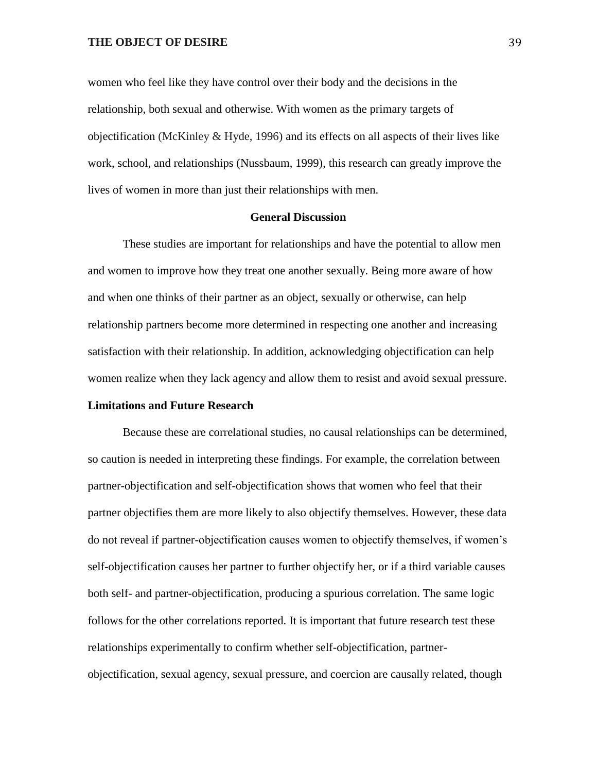women who feel like they have control over their body and the decisions in the relationship, both sexual and otherwise. With women as the primary targets of objectification (McKinley & Hyde, 1996) and its effects on all aspects of their lives like work, school, and relationships (Nussbaum, 1999), this research can greatly improve the lives of women in more than just their relationships with men.

#### **General Discussion**

These studies are important for relationships and have the potential to allow men and women to improve how they treat one another sexually. Being more aware of how and when one thinks of their partner as an object, sexually or otherwise, can help relationship partners become more determined in respecting one another and increasing satisfaction with their relationship. In addition, acknowledging objectification can help women realize when they lack agency and allow them to resist and avoid sexual pressure.

#### **Limitations and Future Research**

Because these are correlational studies, no causal relationships can be determined, so caution is needed in interpreting these findings. For example, the correlation between partner-objectification and self-objectification shows that women who feel that their partner objectifies them are more likely to also objectify themselves. However, these data do not reveal if partner-objectification causes women to objectify themselves, if women's self-objectification causes her partner to further objectify her, or if a third variable causes both self- and partner-objectification, producing a spurious correlation. The same logic follows for the other correlations reported. It is important that future research test these relationships experimentally to confirm whether self-objectification, partnerobjectification, sexual agency, sexual pressure, and coercion are causally related, though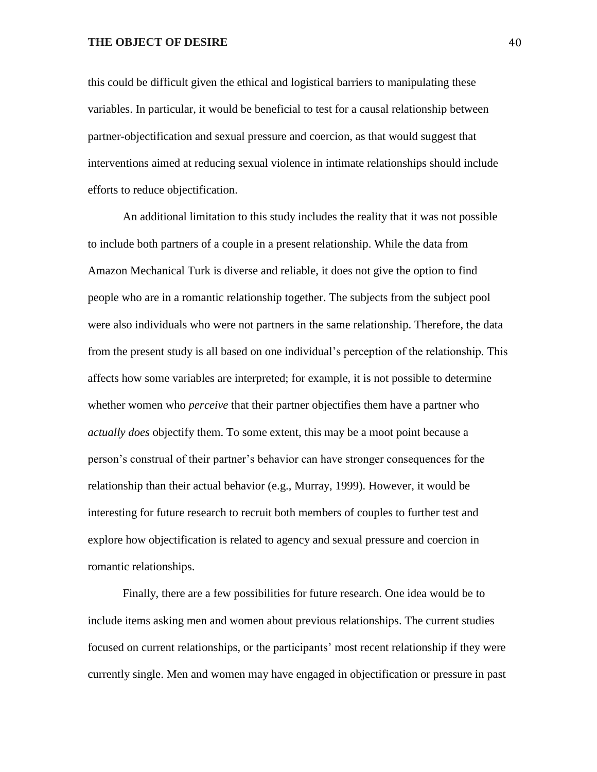this could be difficult given the ethical and logistical barriers to manipulating these variables. In particular, it would be beneficial to test for a causal relationship between partner-objectification and sexual pressure and coercion, as that would suggest that interventions aimed at reducing sexual violence in intimate relationships should include efforts to reduce objectification.

An additional limitation to this study includes the reality that it was not possible to include both partners of a couple in a present relationship. While the data from Amazon Mechanical Turk is diverse and reliable, it does not give the option to find people who are in a romantic relationship together. The subjects from the subject pool were also individuals who were not partners in the same relationship. Therefore, the data from the present study is all based on one individual's perception of the relationship. This affects how some variables are interpreted; for example, it is not possible to determine whether women who *perceive* that their partner objectifies them have a partner who *actually does* objectify them. To some extent, this may be a moot point because a person's construal of their partner's behavior can have stronger consequences for the relationship than their actual behavior (e.g., Murray, 1999). However, it would be interesting for future research to recruit both members of couples to further test and explore how objectification is related to agency and sexual pressure and coercion in romantic relationships.

Finally, there are a few possibilities for future research. One idea would be to include items asking men and women about previous relationships. The current studies focused on current relationships, or the participants' most recent relationship if they were currently single. Men and women may have engaged in objectification or pressure in past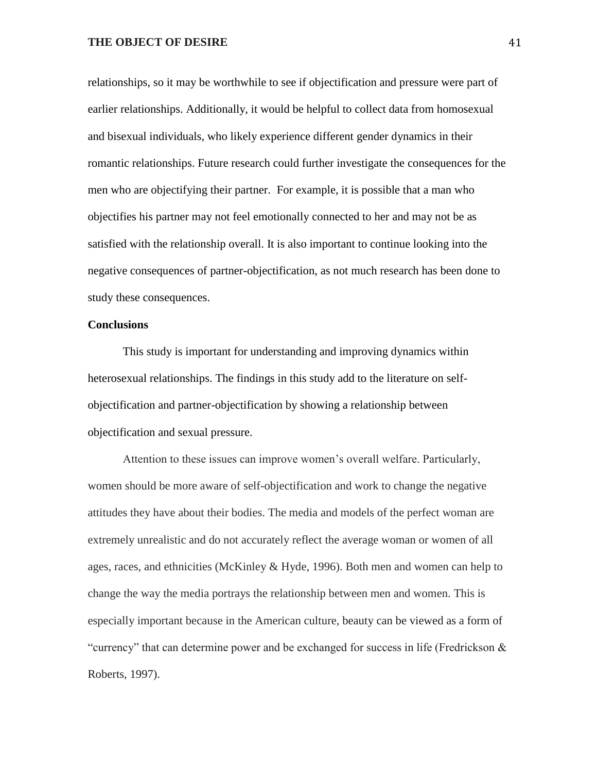relationships, so it may be worthwhile to see if objectification and pressure were part of earlier relationships. Additionally, it would be helpful to collect data from homosexual and bisexual individuals, who likely experience different gender dynamics in their romantic relationships. Future research could further investigate the consequences for the men who are objectifying their partner. For example, it is possible that a man who objectifies his partner may not feel emotionally connected to her and may not be as satisfied with the relationship overall. It is also important to continue looking into the negative consequences of partner-objectification, as not much research has been done to study these consequences.

#### **Conclusions**

This study is important for understanding and improving dynamics within heterosexual relationships. The findings in this study add to the literature on selfobjectification and partner-objectification by showing a relationship between objectification and sexual pressure.

Attention to these issues can improve women's overall welfare. Particularly, women should be more aware of self-objectification and work to change the negative attitudes they have about their bodies. The media and models of the perfect woman are extremely unrealistic and do not accurately reflect the average woman or women of all ages, races, and ethnicities (McKinley & Hyde, 1996). Both men and women can help to change the way the media portrays the relationship between men and women. This is especially important because in the American culture, beauty can be viewed as a form of "currency" that can determine power and be exchanged for success in life (Fredrickson & Roberts, 1997).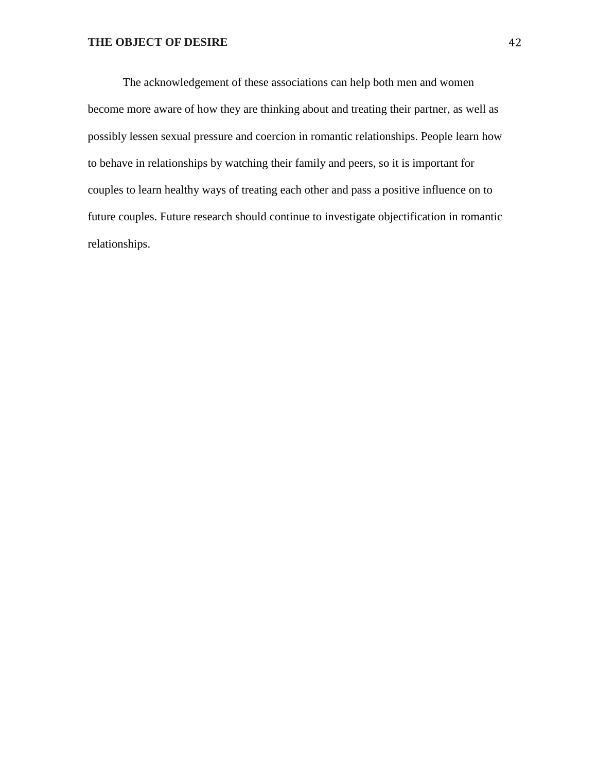The acknowledgement of these associations can help both men and women become more aware of how they are thinking about and treating their partner, as well as possibly lessen sexual pressure and coercion in romantic relationships. People learn how to behave in relationships by watching their family and peers, so it is important for couples to learn healthy ways of treating each other and pass a positive influence on to future couples. Future research should continue to investigate objectification in romantic relationships.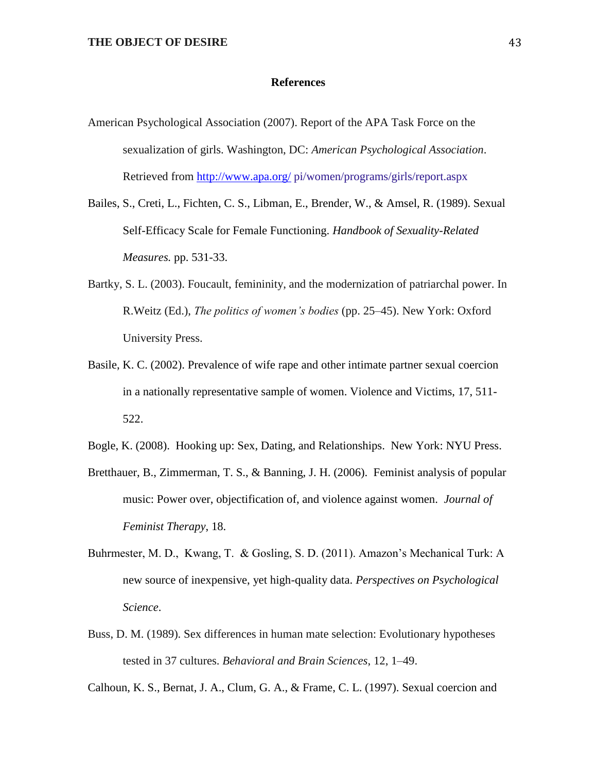#### **References**

- American Psychological Association (2007). Report of the APA Task Force on the sexualization of girls. Washington, DC: *American Psychological Association*. Retrieved from<http://www.apa.org/> pi/women/programs/girls/report.aspx
- Bailes, S., Creti, L., Fichten, C. S., Libman, E., Brender, W., & Amsel, R. (1989). Sexual Self-Efficacy Scale for Female Functioning. *Handbook of Sexuality-Related Measures.* pp. 531-33.
- Bartky, S. L. (2003). Foucault, femininity, and the modernization of patriarchal power. In R.Weitz (Ed.), *The politics of women's bodies* (pp. 25–45). New York: Oxford University Press.
- Basile, K. C. (2002). Prevalence of wife rape and other intimate partner sexual coercion in a nationally representative sample of women. Violence and Victims, 17, 511- 522.
- Bogle, K. (2008). Hooking up: Sex, Dating, and Relationships. New York: NYU Press.
- Bretthauer, B., Zimmerman, T. S., & Banning, J. H. (2006). Feminist analysis of popular music: Power over, objectification of, and violence against women. *Journal of Feminist Therapy*, 18.
- Buhrmester, M. D., Kwang, T. & Gosling, S. D. (2011). Amazon's Mechanical Turk: A new source of inexpensive, yet high-quality data. *Perspectives on Psychological Science*.
- Buss, D. M. (1989). Sex differences in human mate selection: Evolutionary hypotheses tested in 37 cultures. *Behavioral and Brain Sciences*, 12, 1–49.

Calhoun, K. S., Bernat, J. A., Clum, G. A., & Frame, C. L. (1997). Sexual coercion and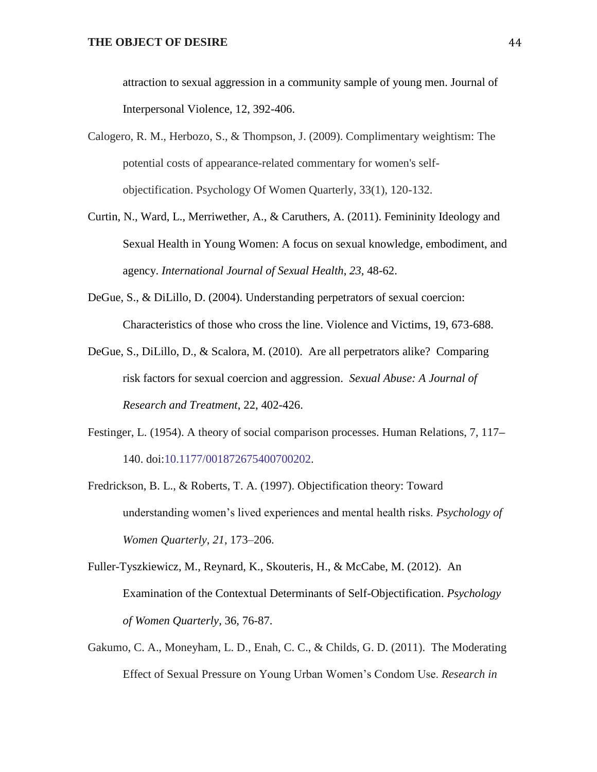attraction to sexual aggression in a community sample of young men. Journal of Interpersonal Violence, 12, 392-406.

- Calogero, R. M., Herbozo, S., & Thompson, J. (2009). Complimentary weightism: The potential costs of appearance-related commentary for women's selfobjectification. Psychology Of Women Quarterly, 33(1), 120-132.
- Curtin, N., Ward, L., Merriwether, A., & Caruthers, A. (2011). Femininity Ideology and Sexual Health in Young Women: A focus on sexual knowledge, embodiment, and agency. *International Journal of Sexual Health*, *23,* 48-62.
- DeGue, S., & DiLillo, D. (2004). Understanding perpetrators of sexual coercion: Characteristics of those who cross the line. Violence and Victims, 19, 673-688.
- DeGue, S., DiLillo, D., & Scalora, M. (2010). Are all perpetrators alike? Comparing risk factors for sexual coercion and aggression. *Sexual Abuse: A Journal of Research and Treatment*, 22, 402-426.
- Festinger, L. (1954). A theory of social comparison processes. Human Relations, 7, 117**–** 140. doi:10.1177/001872675400700202.
- Fredrickson, B. L., & Roberts, T. A. (1997). Objectification theory: Toward understanding women's lived experiences and mental health risks. *Psychology of Women Quarterly*, *21*, 173–206.

Fuller-Tyszkiewicz, M., Reynard, K., Skouteris, H., & McCabe, M. (2012). An Examination of the Contextual Determinants of Self-Objectification. *Psychology of Women Quarterly*, 36, 76-87.

Gakumo, C. A., Moneyham, L. D., Enah, C. C., & Childs, G. D. (2011). The Moderating Effect of Sexual Pressure on Young Urban Women's Condom Use. *Research in*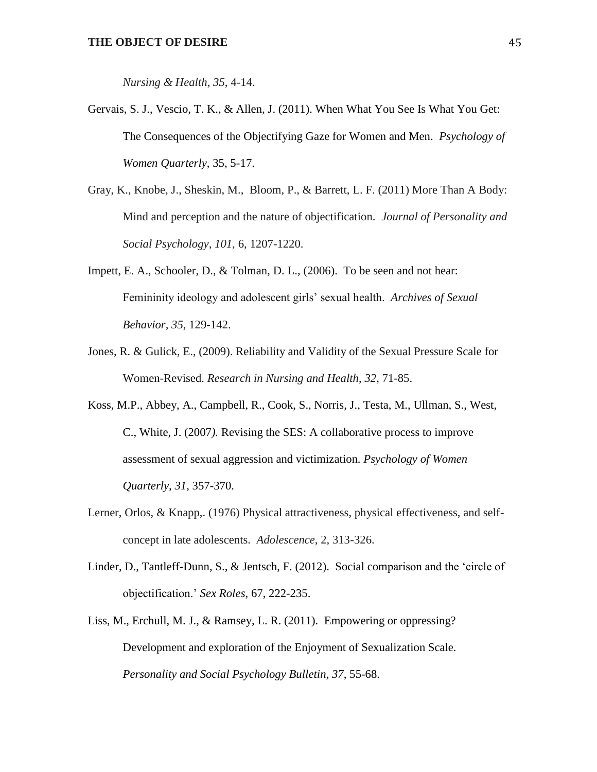*Nursing & Health*, *35*, 4-14.

- Gervais, S. J., Vescio, T. K., & Allen, J. (2011). When What You See Is What You Get: The Consequences of the Objectifying Gaze for Women and Men. *Psychology of Women Quarterly*, 35, 5-17.
- Gray, K., Knobe, J., Sheskin, M., Bloom, P., & Barrett, L. F. (2011) More Than A Body: Mind and perception and the nature of objectification. *Journal of Personality and Social Psychology, 101*, 6, 1207-1220.
- Impett, E. A., Schooler, D., & Tolman, D. L., (2006). To be seen and not hear: Femininity ideology and adolescent girls' sexual health. *Archives of Sexual Behavior, 35*, 129-142.
- Jones, R. & Gulick, E., (2009). Reliability and Validity of the Sexual Pressure Scale for Women-Revised. *Research in Nursing and Health*, *32*, 71-85.
- Koss, M.P., Abbey, A., Campbell, R., Cook, S., Norris, J., Testa, M., Ullman, S., West, C., White, J. (2007*).* Revising the SES: A collaborative process to improve assessment of sexual aggression and victimization. *Psychology of Women Quarterly, 31*, 357-370.
- Lerner, Orlos, & Knapp,. (1976) Physical attractiveness, physical effectiveness, and selfconcept in late adolescents. *Adolescence*, 2, 313-326.
- Linder, D., Tantleff-Dunn, S., & Jentsch, F. (2012). Social comparison and the 'circle of objectification.' *Sex Roles*, 67, 222-235.
- Liss, M., Erchull, M. J., & Ramsey, L. R. (2011). Empowering or oppressing? Development and exploration of the Enjoyment of Sexualization Scale*. Personality and Social Psychology Bulletin, 37*, 55-68.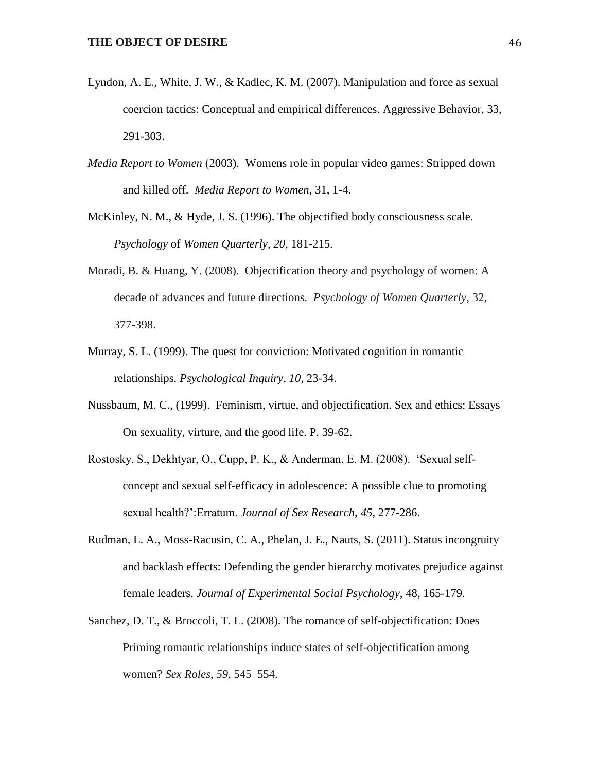- Lyndon, A. E., White, J. W., & Kadlec, K. M. (2007). Manipulation and force as sexual coercion tactics: Conceptual and empirical differences. Aggressive Behavior, 33, 291-303.
- *Media Report to Women* (2003). Womens role in popular video games: Stripped down and killed off. *Media Report to Women*, 31, 1-4.
- McKinley, N. M., & Hyde, J. S. (1996). The objectified body consciousness scale. *Psychology* of *Women Quarterly, 20,* 181-215.
- Moradi, B. & Huang, Y. (2008). Objectification theory and psychology of women: A decade of advances and future directions*. Psychology of Women Quarterly*, 32, 377-398.
- Murray, S. L. (1999). The quest for conviction: Motivated cognition in romantic relationships. *Psychological Inquiry, 10,* 23-34.
- Nussbaum, M. C., (1999). Feminism, virtue, and objectification. Sex and ethics: Essays On sexuality, virture, and the good life. P. 39-62.
- Rostosky, S., Dekhtyar, O., Cupp, P. K., & Anderman, E. M. (2008). 'Sexual selfconcept and sexual self-efficacy in adolescence: A possible clue to promoting sexual health?':Erratum. *Journal of Sex Research*, *45*, 277-286.
- Rudman, L. A., Moss-Racusin, C. A., Phelan, J. E., Nauts, S. (2011). Status incongruity and backlash effects: Defending the gender hierarchy motivates prejudice against female leaders. *Journal of Experimental Social Psychology*, 48, 165-179.
- Sanchez, D. T., & Broccoli, T. L. (2008). The romance of self-objectification: Does Priming romantic relationships induce states of self-objectification among women? *Sex Roles*, *59*, 545–554.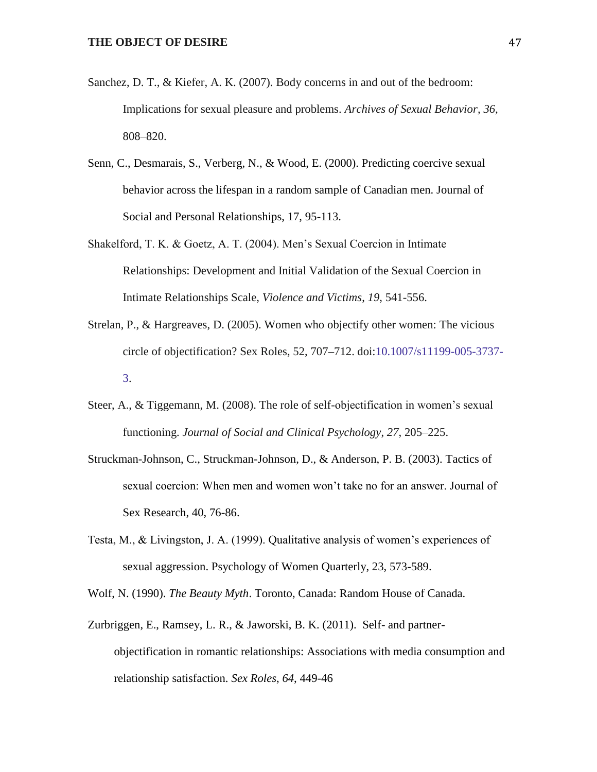- Sanchez, D. T., & Kiefer, A. K. (2007). Body concerns in and out of the bedroom: Implications for sexual pleasure and problems. *Archives of Sexual Behavior, 36,* 808–820.
- Senn, C., Desmarais, S., Verberg, N., & Wood, E. (2000). Predicting coercive sexual behavior across the lifespan in a random sample of Canadian men. Journal of Social and Personal Relationships, 17, 95-113.
- Shakelford, T. K. & Goetz, A. T. (2004). Men's Sexual Coercion in Intimate Relationships: Development and Initial Validation of the Sexual Coercion in Intimate Relationships Scale, *Violence and Victims*, *19*, 541-556.
- Strelan, P., & Hargreaves, D. (2005). Women who objectify other women: The vicious circle of objectification? Sex Roles, 52, 707**–**712. doi:10.1007/s11199-005-3737- 3.
- Steer, A., & Tiggemann, M. (2008). The role of self-objectification in women's sexual functioning. *Journal of Social and Clinical Psychology*, *27*, 205–225.
- Struckman-Johnson, C., Struckman-Johnson, D., & Anderson, P. B. (2003). Tactics of sexual coercion: When men and women won't take no for an answer. Journal of Sex Research, 40, 76-86.
- Testa, M., & Livingston, J. A. (1999). Qualitative analysis of women's experiences of sexual aggression. Psychology of Women Quarterly, 23, 573-589.

Wolf, N. (1990). *The Beauty Myth*. Toronto, Canada: Random House of Canada.

Zurbriggen, E., Ramsey, L. R., & Jaworski, B. K. (2011). Self- and partnerobjectification in romantic relationships: Associations with media consumption and relationship satisfaction. *Sex Roles*, *64*, 449-46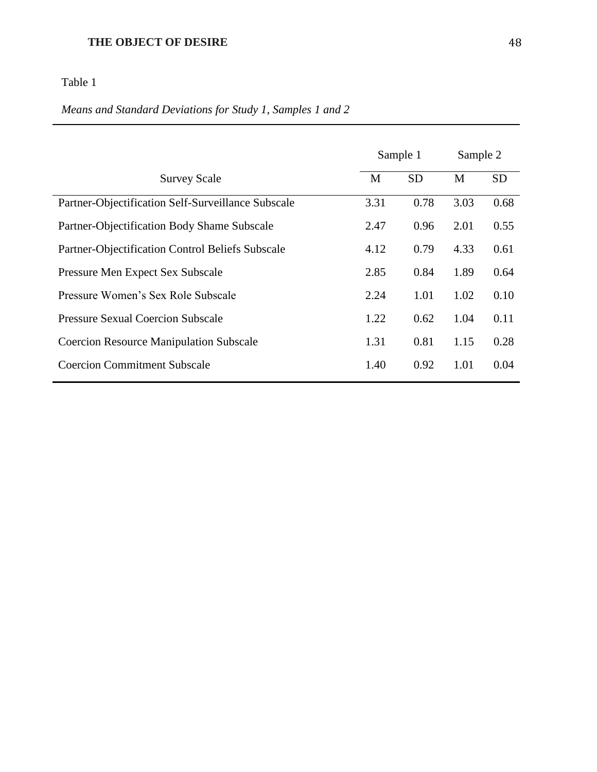Table 1

## *Means and Standard Deviations for Study 1, Samples 1 and 2*

|                                                    |      | Sample 1  | Sample 2 |           |  |
|----------------------------------------------------|------|-----------|----------|-----------|--|
| <b>Survey Scale</b>                                | M    | <b>SD</b> | M        | <b>SD</b> |  |
| Partner-Objectification Self-Surveillance Subscale | 3.31 | 0.78      | 3.03     | 0.68      |  |
| Partner-Objectification Body Shame Subscale        | 2.47 | 0.96      | 2.01     | 0.55      |  |
| Partner-Objectification Control Beliefs Subscale   | 4.12 | 0.79      | 4.33     | 0.61      |  |
| Pressure Men Expect Sex Subscale                   | 2.85 | 0.84      | 1.89     | 0.64      |  |
| Pressure Women's Sex Role Subscale                 | 2.24 | 1.01      | 1.02     | 0.10      |  |
| <b>Pressure Sexual Coercion Subscale</b>           | 1.22 | 0.62      | 1.04     | 0.11      |  |
| <b>Coercion Resource Manipulation Subscale</b>     | 1.31 | 0.81      | 1.15     | 0.28      |  |
| <b>Coercion Commitment Subscale</b>                | 1.40 | 0.92      | 1.01     | 0.04      |  |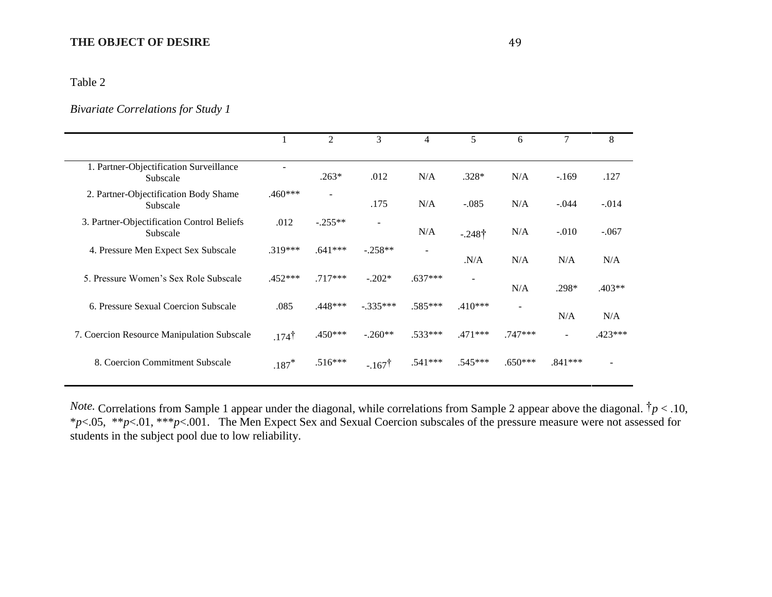#### Table 2

## *Bivariate Correlations for Study 1*

|                                                        |                  | 2                        | 3                 | $\overline{4}$ | 5         | 6                        | $\tau$                   | 8         |
|--------------------------------------------------------|------------------|--------------------------|-------------------|----------------|-----------|--------------------------|--------------------------|-----------|
| 1. Partner-Objectification Surveillance<br>Subscale    |                  | $.263*$                  | .012              | N/A            | $.328*$   | N/A                      | $-.169$                  | .127      |
| 2. Partner-Objectification Body Shame<br>Subscale      | $.460***$        | $\overline{\phantom{a}}$ | .175              | N/A            | $-.085$   | N/A                      | $-.044$                  | $-.014$   |
| 3. Partner-Objectification Control Beliefs<br>Subscale | .012             | $-.255**$                | $\blacksquare$    | N/A            | $-.248†$  | N/A                      | $-.010$                  | $-.067$   |
| 4. Pressure Men Expect Sex Subscale                    | $.319***$        | $.641***$                | $-.258**$         | $\blacksquare$ | N/A       | N/A                      | N/A                      | N/A       |
| 5. Pressure Women's Sex Role Subscale                  | $.452***$        | $.717***$                | $-.202*$          | $.637***$      |           | N/A                      | $.298*$                  | $.403**$  |
| 6. Pressure Sexual Coercion Subscale                   | .085             | $.448***$                | $-.335***$        | $.585***$      | $.410***$ | $\overline{\phantom{a}}$ | N/A                      | N/A       |
| 7. Coercion Resource Manipulation Subscale             | $.174^{\dagger}$ | $.450***$                | $-.260**$         | $.533***$      | $.471***$ | $.747***$                | $\overline{\phantom{a}}$ | $.423***$ |
| 8. Coercion Commitment Subscale                        | $.187*$          | $.516***$                | $-.167^{\dagger}$ | $.541***$      | .545***   | $.650***$                | $.841***$                |           |
|                                                        |                  |                          |                   |                |           |                          |                          |           |

*Note.* Correlations from Sample 1 appear under the diagonal, while correlations from Sample 2 appear above the diagonal. †*p* < .10, \**p*<.05, \*\**p*<.01, \*\*\**p*<.001. The Men Expect Sex and Sexual Coercion subscales of the pressure measure were not assessed for students in the subject pool due to low reliability.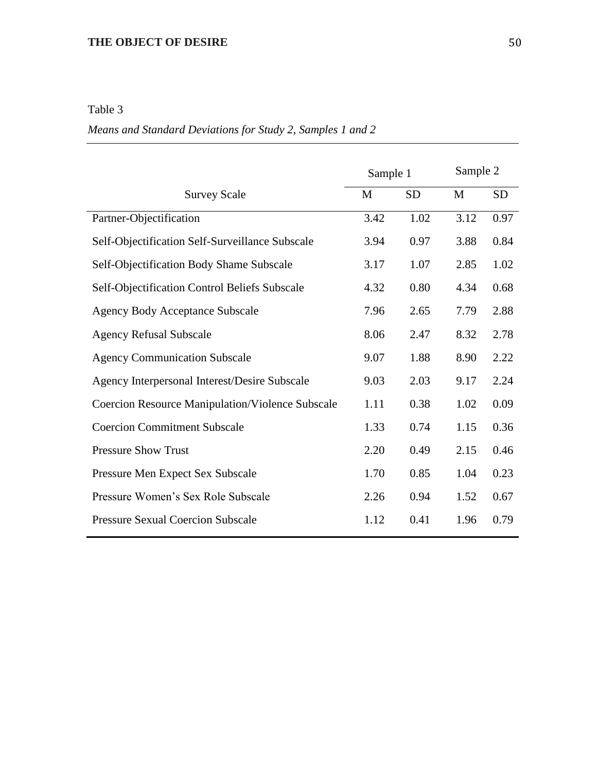## Table 3

## *Means and Standard Deviations for Study 2, Samples 1 and 2*

|                                                         | Sample 1 |           | Sample 2 |           |  |
|---------------------------------------------------------|----------|-----------|----------|-----------|--|
| <b>Survey Scale</b>                                     | M        | <b>SD</b> | M        | <b>SD</b> |  |
| Partner-Objectification                                 | 3.42     | 1.02      | 3.12     | 0.97      |  |
| Self-Objectification Self-Surveillance Subscale         | 3.94     | 0.97      | 3.88     | 0.84      |  |
| Self-Objectification Body Shame Subscale                | 3.17     | 1.07      | 2.85     | 1.02      |  |
| Self-Objectification Control Beliefs Subscale           | 4.32     | 0.80      | 4.34     | 0.68      |  |
| <b>Agency Body Acceptance Subscale</b>                  | 7.96     | 2.65      | 7.79     | 2.88      |  |
| <b>Agency Refusal Subscale</b>                          | 8.06     | 2.47      | 8.32     | 2.78      |  |
| <b>Agency Communication Subscale</b>                    | 9.07     | 1.88      | 8.90     | 2.22      |  |
| Agency Interpersonal Interest/Desire Subscale           | 9.03     | 2.03      | 9.17     | 2.24      |  |
| <b>Coercion Resource Manipulation/Violence Subscale</b> | 1.11     | 0.38      | 1.02     | 0.09      |  |
| <b>Coercion Commitment Subscale</b>                     | 1.33     | 0.74      | 1.15     | 0.36      |  |
| <b>Pressure Show Trust</b>                              | 2.20     | 0.49      | 2.15     | 0.46      |  |
| Pressure Men Expect Sex Subscale                        | 1.70     | 0.85      | 1.04     | 0.23      |  |
| Pressure Women's Sex Role Subscale                      | 2.26     | 0.94      | 1.52     | 0.67      |  |
| <b>Pressure Sexual Coercion Subscale</b>                | 1.12     | 0.41      | 1.96     | 0.79      |  |